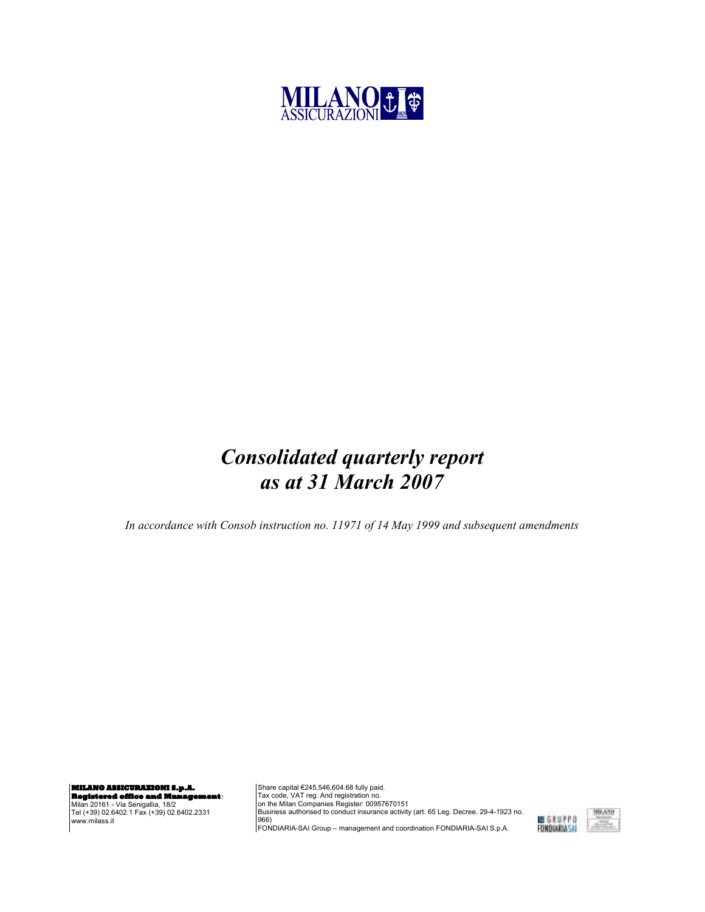

## Consolidated quarterly report as at 31 March 2007

In accordance with Consob instruction no. 11971 of 14 May 1999 and subsequent amendments

**MILANO ASSICURAZIONI S.p.A. Registered office and Management**:

Milan 20161 - Via Senigallia, 18/2 Tel (+39) 02.6402.1 Fax (+39) 02.6402.2331 www.milass.it

Share capital €245,546,604.68 fully paid. Tax code, VAT reg. And registration no.<br>on the Milan Companies Register: 00957670151<br>Business authorised to conduct insurance activity (art. 65 Leg. Decree. 29-4-1923 no. 966) FONDIARIA-SAI Group – management and coordination FONDIARIA-SAI S.p.A.

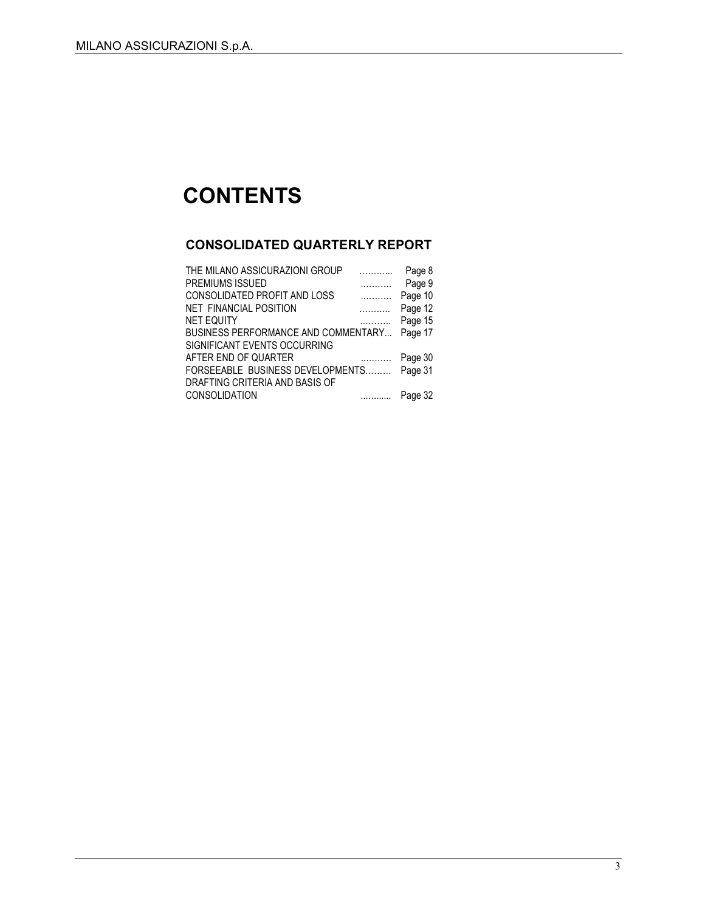# **CONTENTS**

### CONSOLIDATED QUARTERLY REPORT

| THE MILANO ASSICURAZIONI GROUP      |                   | Page 8  |
|-------------------------------------|-------------------|---------|
| PREMIUMS ISSUED                     | .                 | Page 9  |
| CONSOLIDATED PROFIT AND LOSS        | .                 | Page 10 |
| NET FINANCIAL POSITION              |                   | Page 12 |
| NET EQUITY                          | .                 | Page 15 |
| BUSINESS PERFORMANCE AND COMMENTARY |                   | Page 17 |
| SIGNIFICANT EVENTS OCCURRING        |                   |         |
| AFTER END OF QUARTER                | $\cdots$ $\cdots$ | Page 30 |
| FORSEEABLE BUSINESS DEVELOPMENTS    |                   | Page 31 |
| DRAFTING CRITERIA AND BASIS OF      |                   |         |
| CONSOLIDATION                       |                   | Page 32 |
|                                     |                   |         |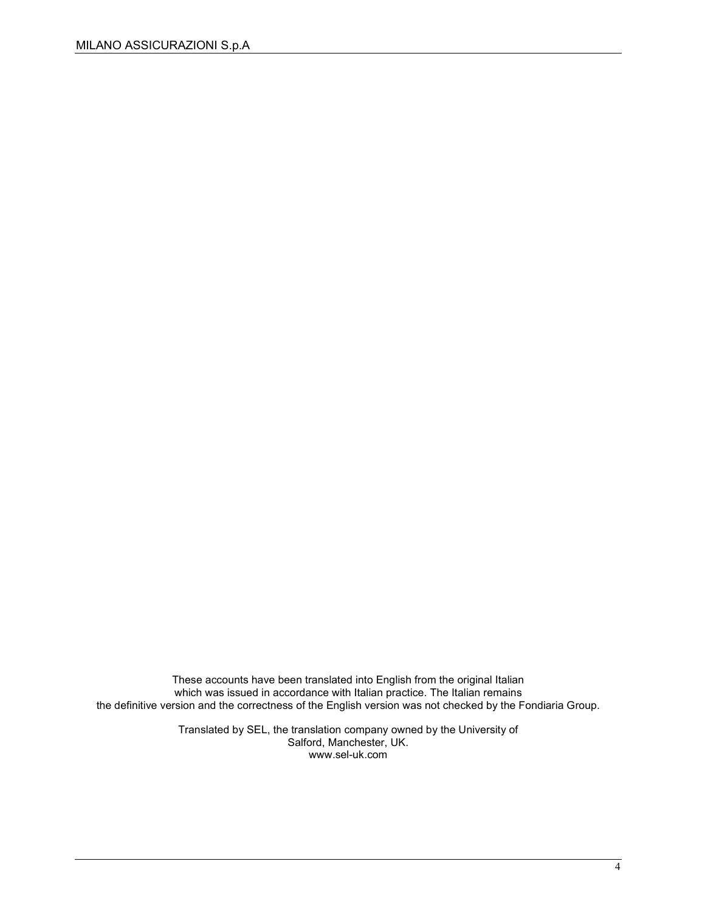These accounts have been translated into English from the original Italian which was issued in accordance with Italian practice. The Italian remains the definitive version and the correctness of the English version was not checked by the Fondiaria Group.

> Translated by SEL, the translation company owned by the University of Salford, Manchester, UK. www.sel-uk.com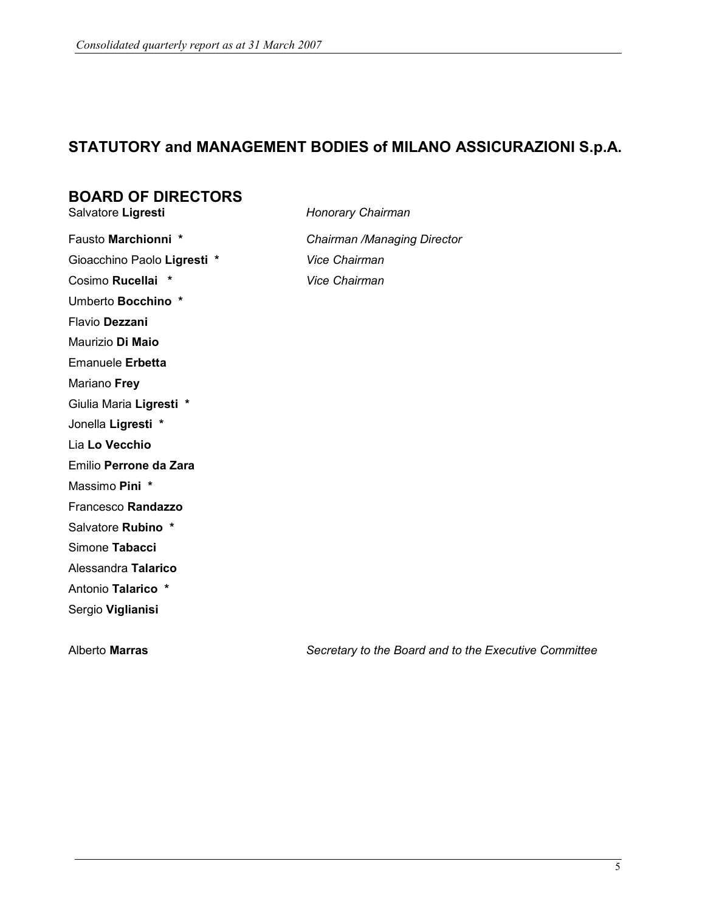### STATUTORY and MANAGEMENT BODIES of MILANO ASSICURAZIONI S.p.A.

# **BOARD OF DIRECTORS**<br>Salvatore Ligresti

Honorary Chairman

Fausto Marchionni \* Chairman /Managing Director Gioacchino Paolo Ligresti \* Vice Chairman Cosimo Rucellai \* Vice Chairman Umberto Bocchino \* Flavio Dezzani Maurizio Di Maio Emanuele Erbetta Mariano Frey Giulia Maria Ligresti \* Jonella Ligresti \* Lia Lo Vecchio Emilio Perrone da Zara Massimo Pini \* Francesco Randazzo Salvatore Rubino \* Simone Tabacci Alessandra Talarico Antonio Talarico \* Sergio Viglianisi

Alberto Marras **Secretary to the Board and to the Executive Committee** Committee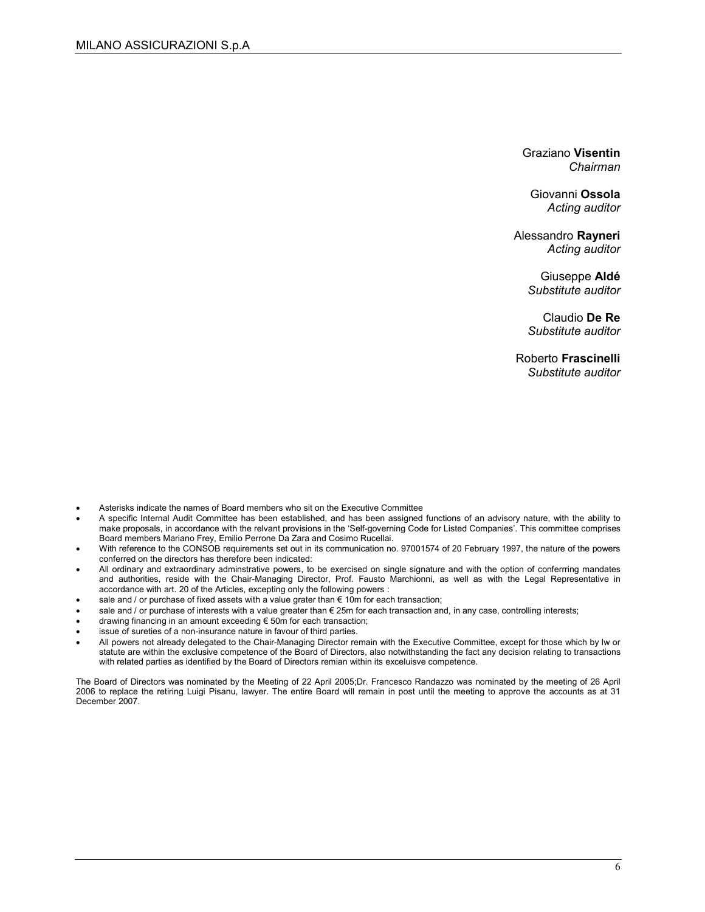Graziano Visentin Chairman

Giovanni Ossola Acting auditor

Alessandro Rayneri Acting auditor

> Giuseppe Aldé Substitute auditor

> Claudio De Re Substitute auditor

Roberto Frascinelli Substitute auditor

- Asterisks indicate the names of Board members who sit on the Executive Committee
- A specific Internal Audit Committee has been established, and has been assigned functions of an advisory nature, with the ability to make proposals, in accordance with the relvant provisions in the 'Self-governing Code for Listed Companies'. This committee comprises Board members Mariano Frey, Emilio Perrone Da Zara and Cosimo Rucellai.
- With reference to the CONSOB requirements set out in its communication no. 97001574 of 20 February 1997, the nature of the powers conferred on the directors has therefore been indicated:
- All ordinary and extraordinary adminstrative powers, to be exercised on single signature and with the option of conferrring mandates and authorities, reside with the Chair-Managing Director, Prof. Fausto Marchionni, as well as with the Legal Representative in accordance with art. 20 of the Articles, excepting only the following powers :
- sale and / or purchase of fixed assets with a value grater than  $\epsilon$  10m for each transaction;
- sale and / or purchase of interests with a value greater than  $\epsilon$  25m for each transaction and, in any case, controlling interests;
- drawing financing in an amount exceeding  $\epsilon$  50m for each transaction;
- issue of sureties of a non-insurance nature in favour of third parties.
- All powers not already delegated to the Chair-Managing Director remain with the Executive Committee, except for those which by lw or statute are within the exclusive competence of the Board of Directors, also notwithstanding the fact any decision relating to transactions with related parties as identified by the Board of Directors remian within its exceluisve competence.

The Board of Directors was nominated by the Meeting of 22 April 2005;Dr. Francesco Randazzo was nominated by the meeting of 26 April 2006 to replace the retiring Luigi Pisanu, lawyer. The entire Board will remain in post until the meeting to approve the accounts as at 31 December 2007.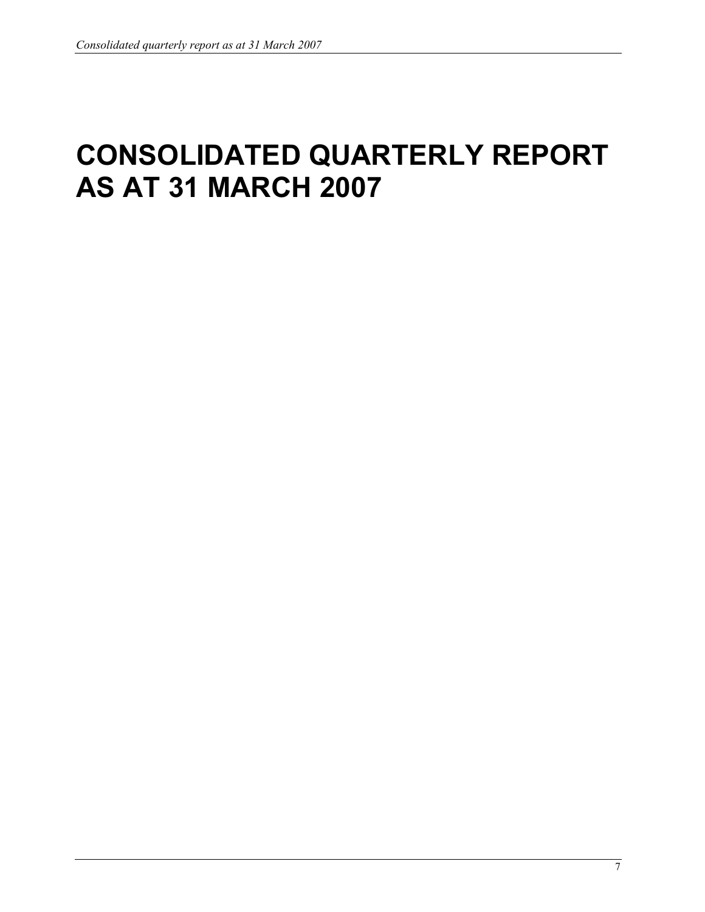# CONSOLIDATED QUARTERLY REPORT AS AT 31 MARCH 2007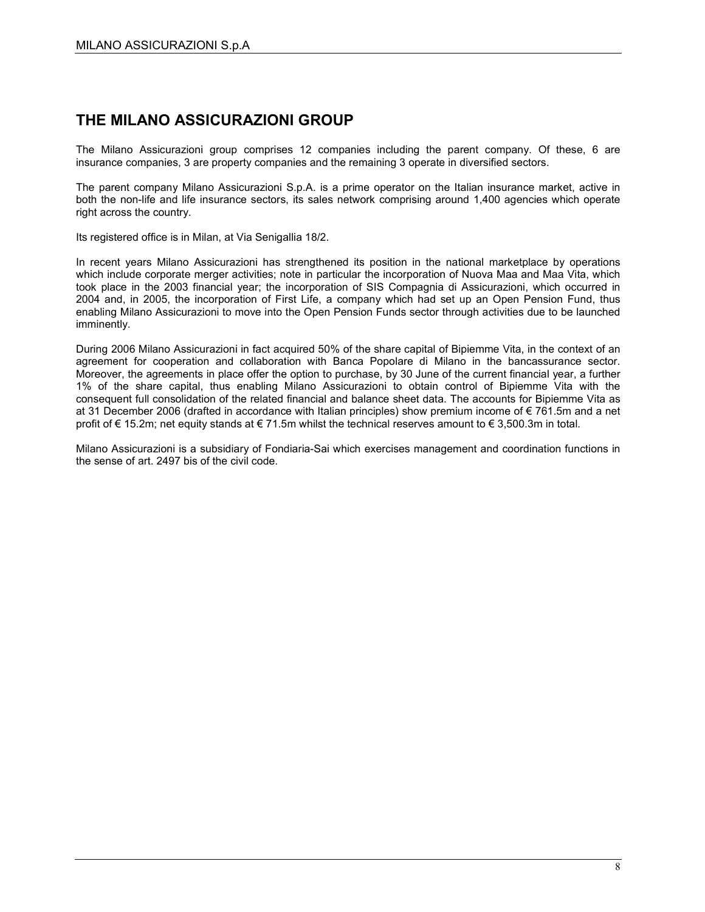### THE MILANO ASSICURAZIONI GROUP

The Milano Assicurazioni group comprises 12 companies including the parent company. Of these, 6 are insurance companies, 3 are property companies and the remaining 3 operate in diversified sectors.

The parent company Milano Assicurazioni S.p.A. is a prime operator on the Italian insurance market, active in both the non-life and life insurance sectors, its sales network comprising around 1,400 agencies which operate right across the country.

Its registered office is in Milan, at Via Senigallia 18/2.

In recent years Milano Assicurazioni has strengthened its position in the national marketplace by operations which include corporate merger activities; note in particular the incorporation of Nuova Maa and Maa Vita, which took place in the 2003 financial year; the incorporation of SIS Compagnia di Assicurazioni, which occurred in 2004 and, in 2005, the incorporation of First Life, a company which had set up an Open Pension Fund, thus enabling Milano Assicurazioni to move into the Open Pension Funds sector through activities due to be launched imminently.

During 2006 Milano Assicurazioni in fact acquired 50% of the share capital of Bipiemme Vita, in the context of an agreement for cooperation and collaboration with Banca Popolare di Milano in the bancassurance sector. Moreover, the agreements in place offer the option to purchase, by 30 June of the current financial year, a further 1% of the share capital, thus enabling Milano Assicurazioni to obtain control of Bipiemme Vita with the consequent full consolidation of the related financial and balance sheet data. The accounts for Bipiemme Vita as at 31 December 2006 (drafted in accordance with Italian principles) show premium income of € 761.5m and a net profit of € 15.2m; net equity stands at € 71.5m whilst the technical reserves amount to € 3,500.3m in total.

Milano Assicurazioni is a subsidiary of Fondiaria-Sai which exercises management and coordination functions in the sense of art. 2497 bis of the civil code.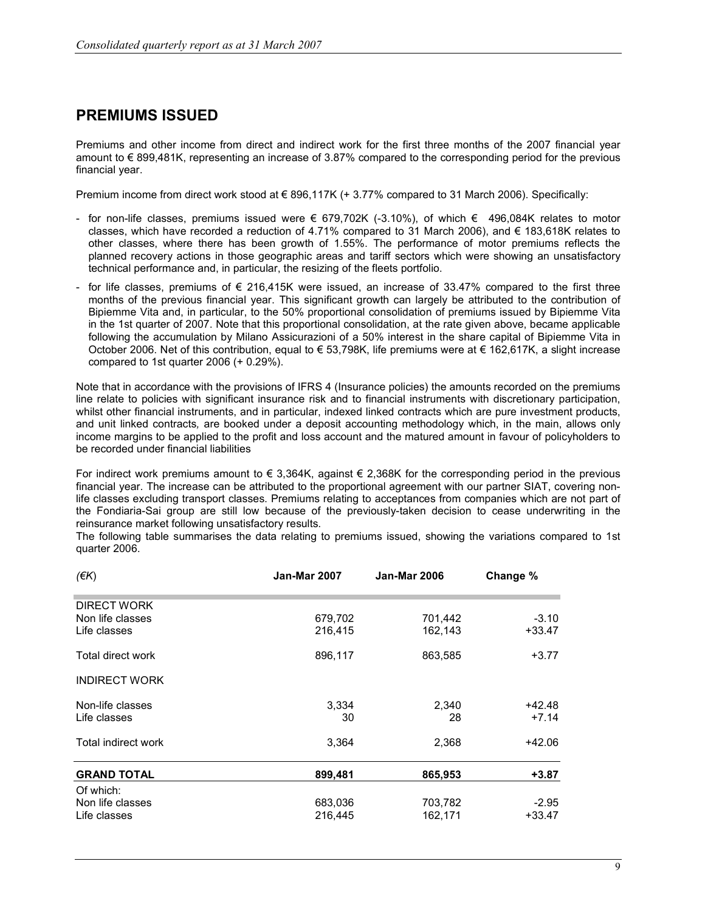### PREMIUMS ISSUED

Premiums and other income from direct and indirect work for the first three months of the 2007 financial year amount to € 899,481K, representing an increase of 3.87% compared to the corresponding period for the previous financial year.

Premium income from direct work stood at € 896,117K (+ 3.77% compared to 31 March 2006). Specifically:

- for non-life classes, premiums issued were € 679,702K (-3.10%), of which € 496,084K relates to motor classes, which have recorded a reduction of 4.71% compared to 31 March 2006), and € 183,618K relates to other classes, where there has been growth of 1.55%. The performance of motor premiums reflects the planned recovery actions in those geographic areas and tariff sectors which were showing an unsatisfactory technical performance and, in particular, the resizing of the fleets portfolio.
- for life classes, premiums of  $\epsilon$  216,415K were issued, an increase of 33.47% compared to the first three months of the previous financial year. This significant growth can largely be attributed to the contribution of Bipiemme Vita and, in particular, to the 50% proportional consolidation of premiums issued by Bipiemme Vita in the 1st quarter of 2007. Note that this proportional consolidation, at the rate given above, became applicable following the accumulation by Milano Assicurazioni of a 50% interest in the share capital of Bipiemme Vita in October 2006. Net of this contribution, equal to € 53,798K, life premiums were at € 162,617K, a slight increase compared to 1st quarter 2006 (+ 0.29%).

Note that in accordance with the provisions of IFRS 4 (Insurance policies) the amounts recorded on the premiums line relate to policies with significant insurance risk and to financial instruments with discretionary participation, whilst other financial instruments, and in particular, indexed linked contracts which are pure investment products, and unit linked contracts, are booked under a deposit accounting methodology which, in the main, allows only income margins to be applied to the profit and loss account and the matured amount in favour of policyholders to be recorded under financial liabilities

For indirect work premiums amount to  $\in$  3,364K, against  $\in$  2,368K for the corresponding period in the previous financial year. The increase can be attributed to the proportional agreement with our partner SIAT, covering nonlife classes excluding transport classes. Premiums relating to acceptances from companies which are not part of the Fondiaria-Sai group are still low because of the previously-taken decision to cease underwriting in the reinsurance market following unsatisfactory results.

The following table summarises the data relating to premiums issued, showing the variations compared to 1st quarter 2006.

| $($ <del>€</del> K $)$ | <b>Jan-Mar 2007</b> | <b>Jan-Mar 2006</b> | Change % |
|------------------------|---------------------|---------------------|----------|
| DIRECT WORK            |                     |                     |          |
| Non life classes       | 679,702             | 701,442             | $-3.10$  |
| Life classes           | 216,415             | 162,143             | $+33.47$ |
| Total direct work      | 896,117             | 863,585             | $+3.77$  |
| <b>INDIRECT WORK</b>   |                     |                     |          |
| Non-life classes       | 3,334               | 2,340               | +42.48   |
| Life classes           | 30                  | 28                  | $+7.14$  |
| Total indirect work    | 3,364               | 2,368               | +42.06   |
| <b>GRAND TOTAL</b>     | 899,481             | 865,953             | $+3.87$  |
| Of which:              |                     |                     |          |
| Non life classes       | 683,036             | 703,782             | $-2.95$  |
| Life classes           | 216,445             | 162,171             | $+33.47$ |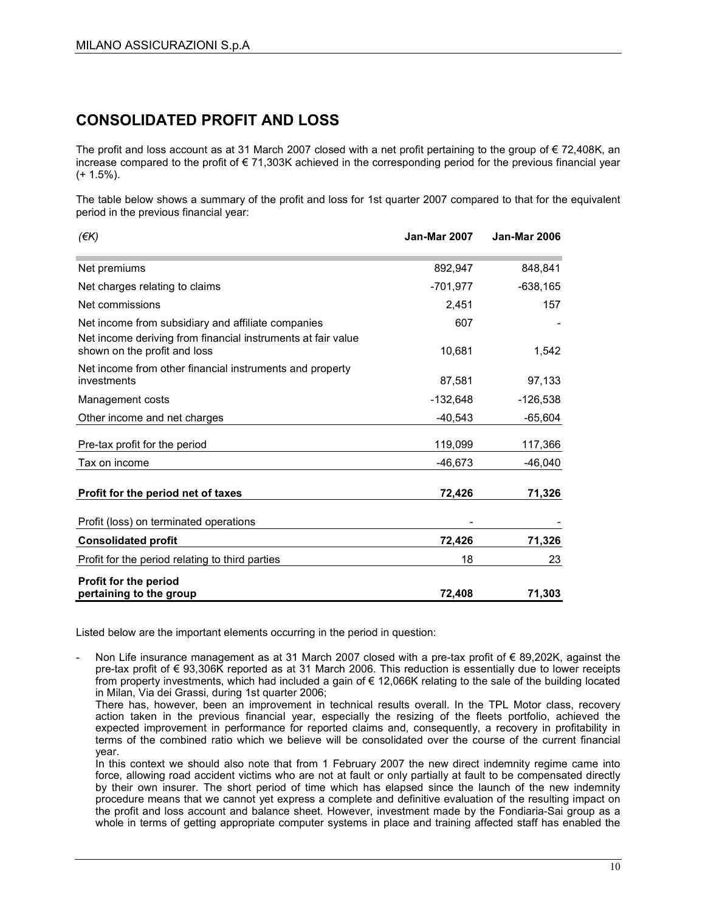### CONSOLIDATED PROFIT AND LOSS

The profit and loss account as at 31 March 2007 closed with a net profit pertaining to the group of € 72,408K, an increase compared to the profit of € 71,303K achieved in the corresponding period for the previous financial year  $(+ 1.5\%)$ .

The table below shows a summary of the profit and loss for 1st quarter 2007 compared to that for the equivalent period in the previous financial year:

| $(\epsilon K)$                                                                                                                                     | <b>Jan-Mar 2007</b> | <b>Jan-Mar 2006</b> |
|----------------------------------------------------------------------------------------------------------------------------------------------------|---------------------|---------------------|
| Net premiums                                                                                                                                       | 892,947             | 848,841             |
| Net charges relating to claims                                                                                                                     | $-701,977$          | $-638,165$          |
| Net commissions                                                                                                                                    | 2,451               | 157                 |
| Net income from subsidiary and affiliate companies<br>Net income deriving from financial instruments at fair value<br>shown on the profit and loss | 607<br>10,681       | 1,542               |
| Net income from other financial instruments and property                                                                                           |                     |                     |
| investments                                                                                                                                        | 87,581              | 97,133              |
| Management costs                                                                                                                                   | $-132,648$          | $-126,538$          |
| Other income and net charges                                                                                                                       | $-40,543$           | -65,604             |
| Pre-tax profit for the period                                                                                                                      | 119,099             | 117,366             |
| Tax on income                                                                                                                                      | -46,673             | $-46,040$           |
| Profit for the period net of taxes                                                                                                                 | 72,426              | 71,326              |
| Profit (loss) on terminated operations                                                                                                             |                     |                     |
| <b>Consolidated profit</b>                                                                                                                         | 72,426              | 71,326              |
| Profit for the period relating to third parties                                                                                                    | 18                  | 23                  |
| Profit for the period<br>pertaining to the group                                                                                                   | 72.408              | 71,303              |

Listed below are the important elements occurring in the period in question:

Non Life insurance management as at 31 March 2007 closed with a pre-tax profit of € 89,202K, against the pre-tax profit of € 93,306K reported as at 31 March 2006. This reduction is essentially due to lower receipts from property investments, which had included a gain of € 12,066K relating to the sale of the building located in Milan, Via dei Grassi, during 1st quarter 2006;

There has, however, been an improvement in technical results overall. In the TPL Motor class, recovery action taken in the previous financial year, especially the resizing of the fleets portfolio, achieved the expected improvement in performance for reported claims and, consequently, a recovery in profitability in terms of the combined ratio which we believe will be consolidated over the course of the current financial year.

In this context we should also note that from 1 February 2007 the new direct indemnity regime came into force, allowing road accident victims who are not at fault or only partially at fault to be compensated directly by their own insurer. The short period of time which has elapsed since the launch of the new indemnity procedure means that we cannot yet express a complete and definitive evaluation of the resulting impact on the profit and loss account and balance sheet. However, investment made by the Fondiaria-Sai group as a whole in terms of getting appropriate computer systems in place and training affected staff has enabled the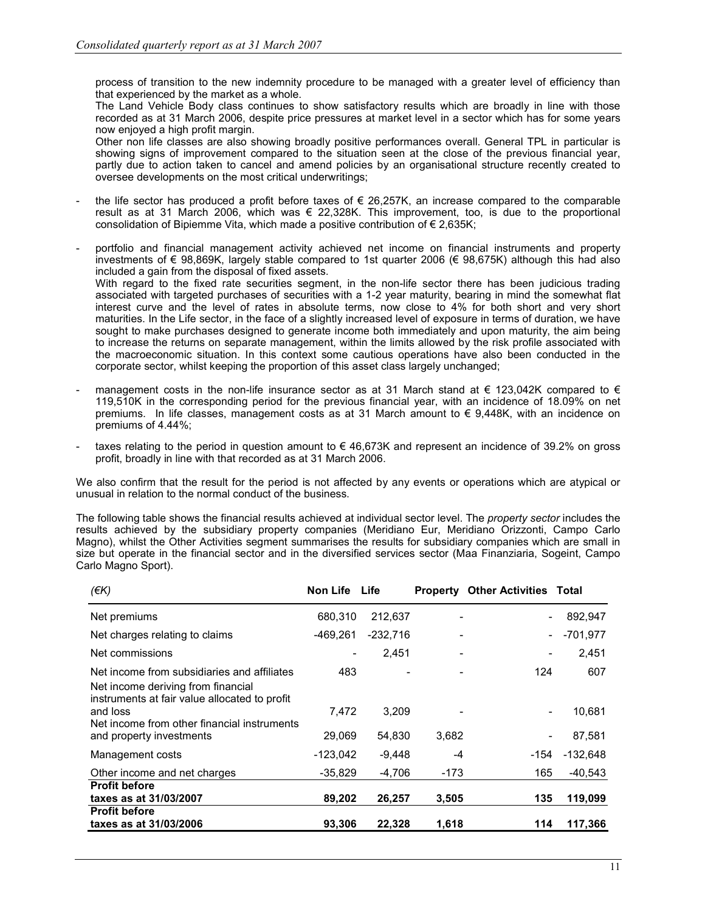process of transition to the new indemnity procedure to be managed with a greater level of efficiency than that experienced by the market as a whole.

The Land Vehicle Body class continues to show satisfactory results which are broadly in line with those recorded as at 31 March 2006, despite price pressures at market level in a sector which has for some years now enjoyed a high profit margin.

Other non life classes are also showing broadly positive performances overall. General TPL in particular is showing signs of improvement compared to the situation seen at the close of the previous financial year, partly due to action taken to cancel and amend policies by an organisational structure recently created to oversee developments on the most critical underwritings;

- the life sector has produced a profit before taxes of  $\epsilon$  26,257K, an increase compared to the comparable result as at 31 March 2006, which was € 22,328K. This improvement, too, is due to the proportional consolidation of Bipiemme Vita, which made a positive contribution of € 2,635K;
- portfolio and financial management activity achieved net income on financial instruments and property investments of € 98,869K, largely stable compared to 1st quarter 2006 (€ 98,675K) although this had also included a gain from the disposal of fixed assets.

With regard to the fixed rate securities segment, in the non-life sector there has been judicious trading associated with targeted purchases of securities with a 1-2 year maturity, bearing in mind the somewhat flat interest curve and the level of rates in absolute terms, now close to 4% for both short and very short maturities. In the Life sector, in the face of a slightly increased level of exposure in terms of duration, we have sought to make purchases designed to generate income both immediately and upon maturity, the aim being to increase the returns on separate management, within the limits allowed by the risk profile associated with the macroeconomic situation. In this context some cautious operations have also been conducted in the corporate sector, whilst keeping the proportion of this asset class largely unchanged;

- management costs in the non-life insurance sector as at 31 March stand at  $\epsilon$  123,042K compared to  $\epsilon$ 119,510K in the corresponding period for the previous financial year, with an incidence of 18.09% on net premiums. In life classes, management costs as at 31 March amount to  $\epsilon$  9,448K, with an incidence on premiums of 4.44%;
- taxes relating to the period in question amount to  $\epsilon$  46,673K and represent an incidence of 39.2% on gross profit, broadly in line with that recorded as at 31 March 2006.

We also confirm that the result for the period is not affected by any events or operations which are atypical or unusual in relation to the normal conduct of the business.

The following table shows the financial results achieved at individual sector level. The *property sector* includes the results achieved by the subsidiary property companies (Meridiano Eur, Meridiano Orizzonti, Campo Carlo Magno), whilst the Other Activities segment summarises the results for subsidiary companies which are small in size but operate in the financial sector and in the diversified services sector (Maa Finanziaria, Sogeint, Campo Carlo Magno Sport).

| (EK)                                                                                                                               | Non Life Life |            |       | <b>Property Other Activities Total</b> |            |
|------------------------------------------------------------------------------------------------------------------------------------|---------------|------------|-------|----------------------------------------|------------|
| Net premiums                                                                                                                       | 680,310       | 212,637    |       | -                                      | 892,947    |
| Net charges relating to claims                                                                                                     | -469,261      | $-232,716$ |       |                                        | $-701,977$ |
| Net commissions                                                                                                                    | -             | 2,451      | -     | -                                      | 2,451      |
| Net income from subsidiaries and affiliates<br>Net income deriving from financial<br>instruments at fair value allocated to profit | 483           |            |       | 124                                    | 607        |
| and loss<br>Net income from other financial instruments                                                                            | 7.472         | 3,209      |       | -                                      | 10,681     |
| and property investments                                                                                                           | 29,069        | 54,830     | 3,682 | -                                      | 87,581     |
| Management costs                                                                                                                   | $-123,042$    | $-9,448$   | -4    | -154                                   | $-132,648$ |
| Other income and net charges                                                                                                       | $-35,829$     | $-4,706$   | -173  | 165                                    | $-40,543$  |
| <b>Profit before</b>                                                                                                               |               |            |       |                                        |            |
| taxes as at 31/03/2007                                                                                                             | 89,202        | 26,257     | 3,505 | 135                                    | 119,099    |
| <b>Profit before</b>                                                                                                               |               |            |       |                                        |            |
| taxes as at 31/03/2006                                                                                                             | 93,306        | 22,328     | 1,618 | 114                                    | 117,366    |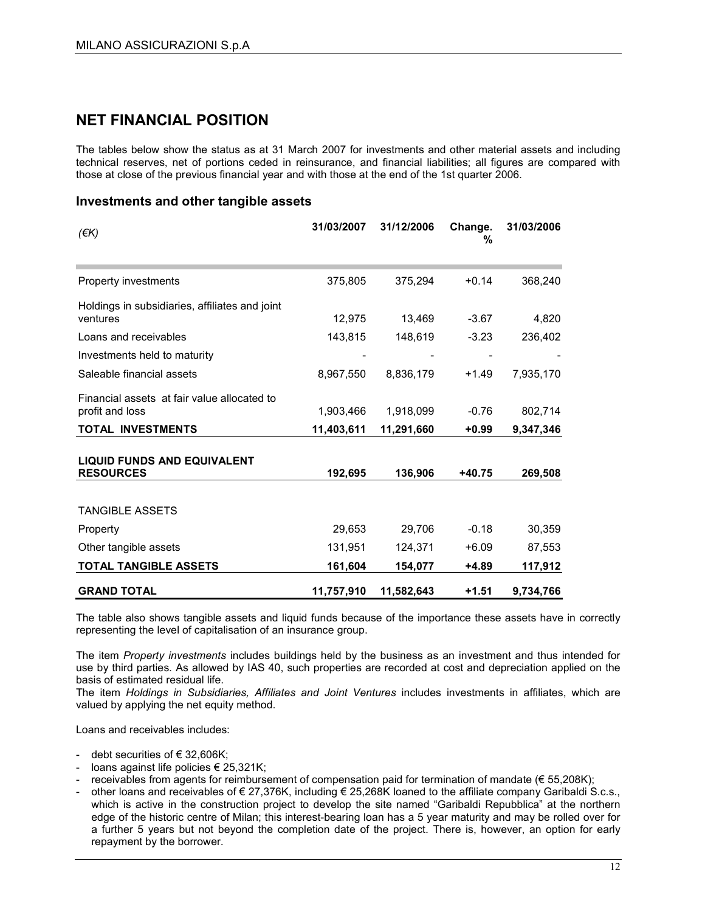### NET FINANCIAL POSITION

The tables below show the status as at 31 March 2007 for investments and other material assets and including technical reserves, net of portions ceded in reinsurance, and financial liabilities; all figures are compared with those at close of the previous financial year and with those at the end of the 1st quarter 2006.

#### Investments and other tangible assets

| $(\epsilon K)$                                                 | 31/03/2007 | 31/12/2006 | Change.<br>% | 31/03/2006 |
|----------------------------------------------------------------|------------|------------|--------------|------------|
| Property investments                                           | 375,805    | 375,294    | $+0.14$      | 368,240    |
| Holdings in subsidiaries, affiliates and joint<br>ventures     | 12,975     | 13,469     | $-3.67$      | 4,820      |
| Loans and receivables                                          | 143,815    | 148,619    | $-3.23$      | 236,402    |
| Investments held to maturity                                   |            |            |              |            |
| Saleable financial assets                                      | 8,967,550  | 8,836,179  | $+1.49$      | 7,935,170  |
| Financial assets at fair value allocated to<br>profit and loss | 1,903,466  | 1,918,099  | $-0.76$      | 802,714    |
| <b>TOTAL INVESTMENTS</b>                                       | 11,403,611 | 11,291,660 | $+0.99$      | 9,347,346  |
| <b>LIQUID FUNDS AND EQUIVALENT</b><br><b>RESOURCES</b>         | 192,695    | 136,906    | $+40.75$     | 269,508    |
| <b>TANGIBLE ASSETS</b>                                         |            |            |              |            |
| Property                                                       | 29,653     | 29,706     | $-0.18$      | 30,359     |
| Other tangible assets                                          | 131,951    | 124,371    | $+6.09$      | 87,553     |
| <b>TOTAL TANGIBLE ASSETS</b>                                   | 161,604    | 154,077    | +4.89        | 117,912    |
| <b>GRAND TOTAL</b>                                             | 11,757,910 | 11,582,643 | $+1.51$      | 9,734,766  |

The table also shows tangible assets and liquid funds because of the importance these assets have in correctly representing the level of capitalisation of an insurance group.

The item Property investments includes buildings held by the business as an investment and thus intended for use by third parties. As allowed by IAS 40, such properties are recorded at cost and depreciation applied on the basis of estimated residual life.

The item Holdings in Subsidiaries, Affiliates and Joint Ventures includes investments in affiliates, which are valued by applying the net equity method.

Loans and receivables includes:

- debt securities of € 32,606K;
- loans against life policies € 25,321K;
- receivables from agents for reimbursement of compensation paid for termination of mandate (€ 55,208K);
- other loans and receivables of € 27,376K, including € 25,268K loaned to the affiliate company Garibaldi S.c.s., which is active in the construction project to develop the site named "Garibaldi Repubblica" at the northern edge of the historic centre of Milan; this interest-bearing loan has a 5 year maturity and may be rolled over for a further 5 years but not beyond the completion date of the project. There is, however, an option for early repayment by the borrower.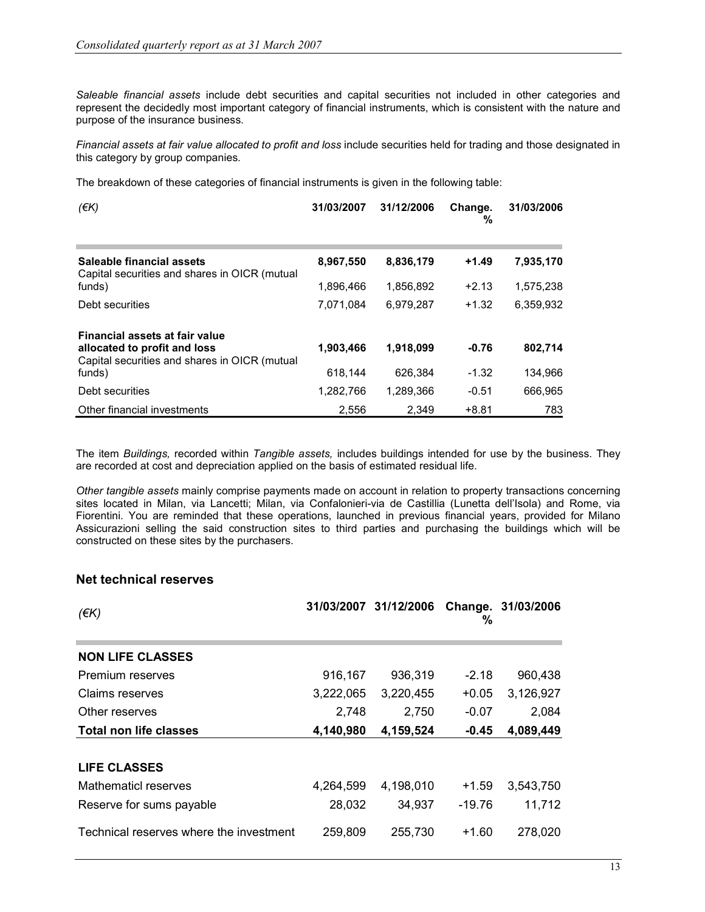Saleable financial assets include debt securities and capital securities not included in other categories and represent the decidedly most important category of financial instruments, which is consistent with the nature and purpose of the insurance business.

Financial assets at fair value allocated to profit and loss include securities held for trading and those designated in this category by group companies.

The breakdown of these categories of financial instruments is given in the following table:

| (EK)                                                                                                            | 31/03/2007 | 31/12/2006 | Change.<br>% | 31/03/2006 |
|-----------------------------------------------------------------------------------------------------------------|------------|------------|--------------|------------|
| Saleable financial assets<br>Capital securities and shares in OICR (mutual                                      | 8,967,550  | 8,836,179  | $+1.49$      | 7,935,170  |
| funds)                                                                                                          | 1,896,466  | 1,856,892  | $+2.13$      | 1,575,238  |
| Debt securities                                                                                                 | 7,071,084  | 6,979,287  | $+1.32$      | 6,359,932  |
| Financial assets at fair value<br>allocated to profit and loss<br>Capital securities and shares in OICR (mutual | 1,903,466  | 1,918,099  | $-0.76$      | 802,714    |
| funds)                                                                                                          | 618,144    | 626.384    | $-1.32$      | 134,966    |
| Debt securities                                                                                                 | 1,282,766  | 1,289,366  | $-0.51$      | 666,965    |
| Other financial investments                                                                                     | 2.556      | 2.349      | $+8.81$      | 783        |

The item Buildings, recorded within Tangible assets, includes buildings intended for use by the business. They are recorded at cost and depreciation applied on the basis of estimated residual life.

Other tangible assets mainly comprise payments made on account in relation to property transactions concerning sites located in Milan, via Lancetti; Milan, via Confalonieri-via de Castillia (Lunetta dell'Isola) and Rome, via Fiorentini. You are reminded that these operations, launched in previous financial years, provided for Milano Assicurazioni selling the said construction sites to third parties and purchasing the buildings which will be constructed on these sites by the purchasers.

#### Net technical reserves

| $(\epsilon K)$                          |           | 31/03/2007 31/12/2006 | %        | Change. 31/03/2006 |
|-----------------------------------------|-----------|-----------------------|----------|--------------------|
| <b>NON LIFE CLASSES</b>                 |           |                       |          |                    |
| Premium reserves                        | 916,167   | 936,319               | $-2.18$  | 960,438            |
| Claims reserves                         | 3,222,065 | 3,220,455             | $+0.05$  | 3,126,927          |
| Other reserves                          | 2,748     | 2,750                 | $-0.07$  | 2,084              |
| <b>Total non life classes</b>           | 4,140,980 | 4,159,524             | $-0.45$  | 4,089,449          |
|                                         |           |                       |          |                    |
| <b>LIFE CLASSES</b>                     |           |                       |          |                    |
| Mathematicl reserves                    | 4,264,599 | 4,198,010             | $+1.59$  | 3,543,750          |
| Reserve for sums payable                | 28,032    | 34,937                | $-19.76$ | 11,712             |
| Technical reserves where the investment | 259,809   | 255,730               | $+1.60$  | 278,020            |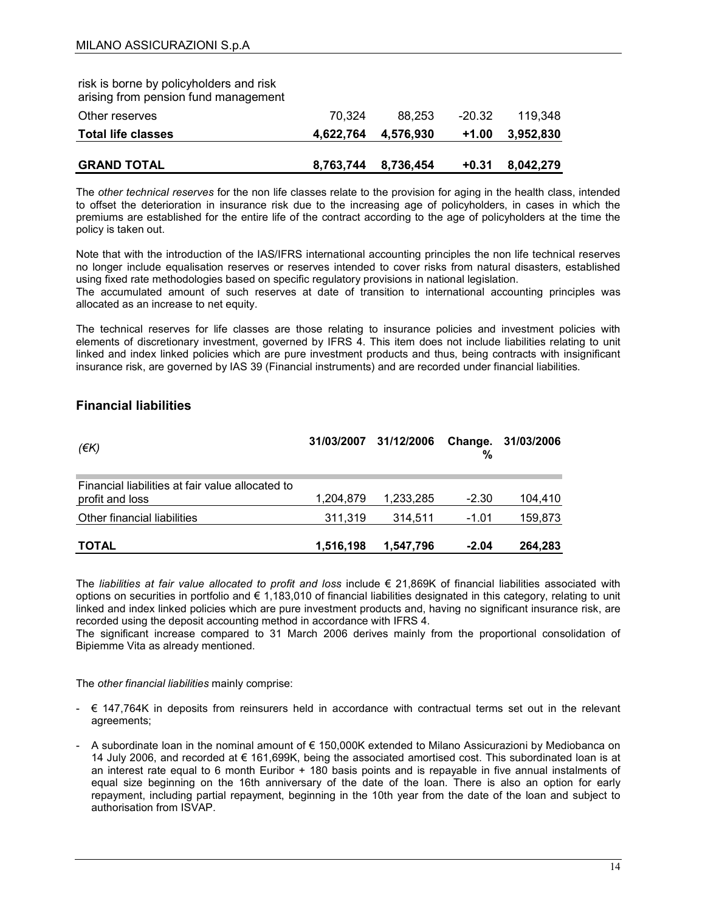| <b>GRAND TOTAL</b>                                                              | 8,763,744 | 8,736,454 | $+0.31$ | 8,042,279 |
|---------------------------------------------------------------------------------|-----------|-----------|---------|-----------|
| <b>Total life classes</b>                                                       | 4.622.764 | 4,576,930 | $+1.00$ | 3,952,830 |
| Other reserves                                                                  | 70.324    | 88.253    | -20.32  | 119.348   |
| risk is borne by policyholders and risk<br>arising from pension fund management |           |           |         |           |

The other technical reserves for the non life classes relate to the provision for aging in the health class, intended to offset the deterioration in insurance risk due to the increasing age of policyholders, in cases in which the premiums are established for the entire life of the contract according to the age of policyholders at the time the policy is taken out.

Note that with the introduction of the IAS/IFRS international accounting principles the non life technical reserves no longer include equalisation reserves or reserves intended to cover risks from natural disasters, established using fixed rate methodologies based on specific regulatory provisions in national legislation.

The accumulated amount of such reserves at date of transition to international accounting principles was allocated as an increase to net equity.

The technical reserves for life classes are those relating to insurance policies and investment policies with elements of discretionary investment, governed by IFRS 4. This item does not include liabilities relating to unit linked and index linked policies which are pure investment products and thus, being contracts with insignificant insurance risk, are governed by IAS 39 (Financial instruments) and are recorded under financial liabilities.

#### Financial liabilities

| $(\epsilon K)$                                                      |           | 31/03/2007 31/12/2006 | %       | Change. 31/03/2006 |
|---------------------------------------------------------------------|-----------|-----------------------|---------|--------------------|
| Financial liabilities at fair value allocated to<br>profit and loss | 1,204,879 | 1,233,285             | $-2.30$ | 104.410            |
| Other financial liabilities                                         | 311,319   | 314.511               | -1.01   | 159,873            |
| <b>TOTAL</b>                                                        | 1,516,198 | 1,547,796             | $-2.04$ | 264,283            |

The liabilities at fair value allocated to profit and loss include  $\epsilon$  21,869K of financial liabilities associated with options on securities in portfolio and € 1,183,010 of financial liabilities designated in this category, relating to unit linked and index linked policies which are pure investment products and, having no significant insurance risk, are recorded using the deposit accounting method in accordance with IFRS 4.

The significant increase compared to 31 March 2006 derives mainly from the proportional consolidation of Bipiemme Vita as already mentioned.

The other financial liabilities mainly comprise:

- € 147,764K in deposits from reinsurers held in accordance with contractual terms set out in the relevant agreements;
- A subordinate loan in the nominal amount of € 150,000K extended to Milano Assicurazioni by Mediobanca on 14 July 2006, and recorded at € 161,699K, being the associated amortised cost. This subordinated loan is at an interest rate equal to 6 month Euribor + 180 basis points and is repayable in five annual instalments of equal size beginning on the 16th anniversary of the date of the loan. There is also an option for early repayment, including partial repayment, beginning in the 10th year from the date of the loan and subject to authorisation from ISVAP.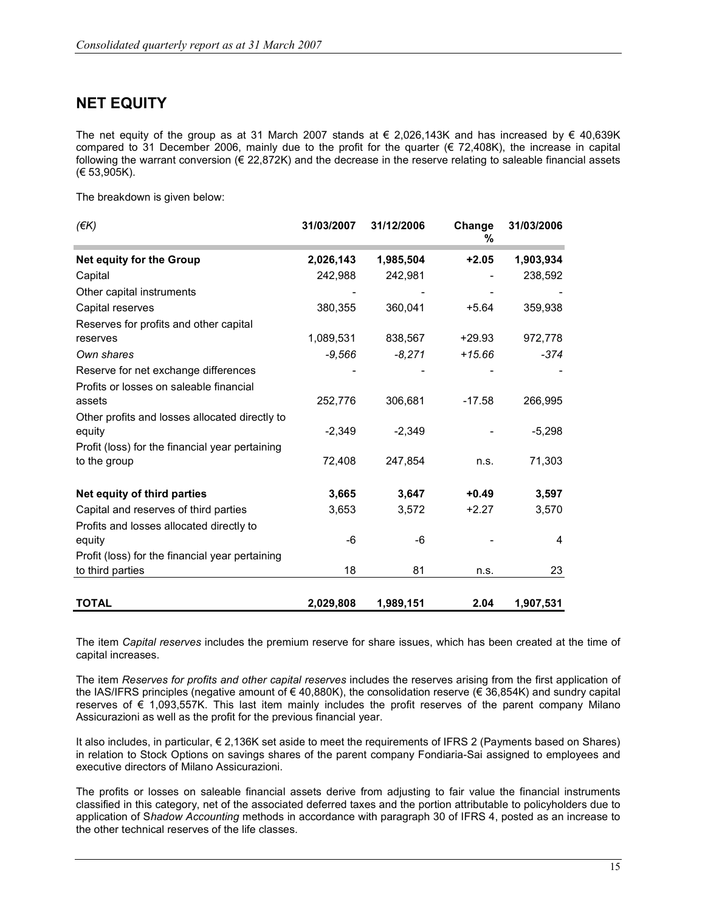### NET EQUITY

The net equity of the group as at 31 March 2007 stands at  $\epsilon$  2,026,143K and has increased by  $\epsilon$  40,639K compared to 31 December 2006, mainly due to the profit for the quarter  $(E 72,408K)$ , the increase in capital following the warrant conversion  $(\epsilon 22,872K)$  and the decrease in the reserve relating to saleable financial assets (€ 53,905K).

The breakdown is given below:

| $(\epsilon K)$                                  | 31/03/2007 | 31/12/2006 | Change<br>% | 31/03/2006 |
|-------------------------------------------------|------------|------------|-------------|------------|
| <b>Net equity for the Group</b>                 | 2,026,143  | 1,985,504  | $+2.05$     | 1,903,934  |
| Capital                                         | 242,988    | 242,981    |             | 238,592    |
| Other capital instruments                       |            |            |             |            |
| Capital reserves                                | 380,355    | 360,041    | $+5.64$     | 359,938    |
| Reserves for profits and other capital          |            |            |             |            |
| reserves                                        | 1,089,531  | 838,567    | $+29.93$    | 972,778    |
| Own shares                                      | $-9,566$   | $-8,271$   | $+15.66$    | $-374$     |
| Reserve for net exchange differences            |            |            |             |            |
| Profits or losses on saleable financial         |            |            |             |            |
| assets                                          | 252,776    | 306,681    | $-17.58$    | 266,995    |
| Other profits and losses allocated directly to  |            |            |             |            |
| equity                                          | $-2,349$   | $-2,349$   |             | $-5,298$   |
| Profit (loss) for the financial year pertaining |            |            |             |            |
| to the group                                    | 72,408     | 247,854    | n.s.        | 71,303     |
| Net equity of third parties                     | 3,665      | 3,647      | $+0.49$     | 3,597      |
| Capital and reserves of third parties           | 3,653      | 3,572      | $+2.27$     | 3,570      |
| Profits and losses allocated directly to        |            |            |             |            |
| equity                                          | -6         | -6         |             | 4          |
| Profit (loss) for the financial year pertaining |            |            |             |            |
| to third parties                                | 18         | 81         | n.s.        | 23         |
| <b>TOTAL</b>                                    | 2,029,808  | 1,989,151  | 2.04        | 1,907,531  |

The item Capital reserves includes the premium reserve for share issues, which has been created at the time of capital increases.

The item Reserves for profits and other capital reserves includes the reserves arising from the first application of the IAS/IFRS principles (negative amount of € 40,880K), the consolidation reserve (€ 36,854K) and sundry capital reserves of € 1,093,557K. This last item mainly includes the profit reserves of the parent company Milano Assicurazioni as well as the profit for the previous financial year.

It also includes, in particular, € 2,136K set aside to meet the requirements of IFRS 2 (Payments based on Shares) in relation to Stock Options on savings shares of the parent company Fondiaria-Sai assigned to employees and executive directors of Milano Assicurazioni.

The profits or losses on saleable financial assets derive from adjusting to fair value the financial instruments classified in this category, net of the associated deferred taxes and the portion attributable to policyholders due to application of Shadow Accounting methods in accordance with paragraph 30 of IFRS 4, posted as an increase to the other technical reserves of the life classes.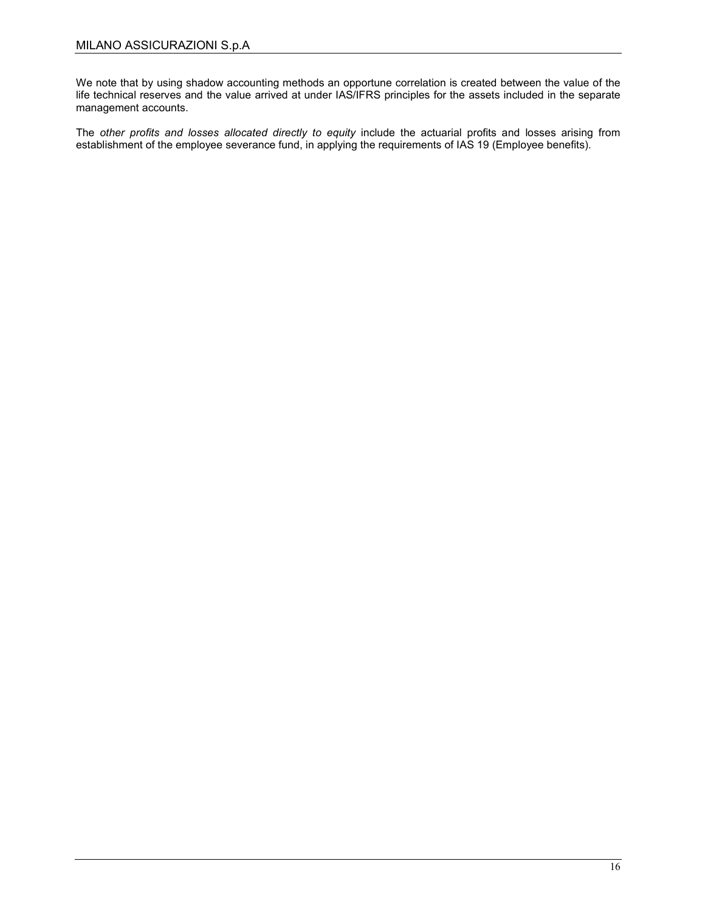We note that by using shadow accounting methods an opportune correlation is created between the value of the life technical reserves and the value arrived at under IAS/IFRS principles for the assets included in the separate management accounts.

The other profits and losses allocated directly to equity include the actuarial profits and losses arising from establishment of the employee severance fund, in applying the requirements of IAS 19 (Employee benefits).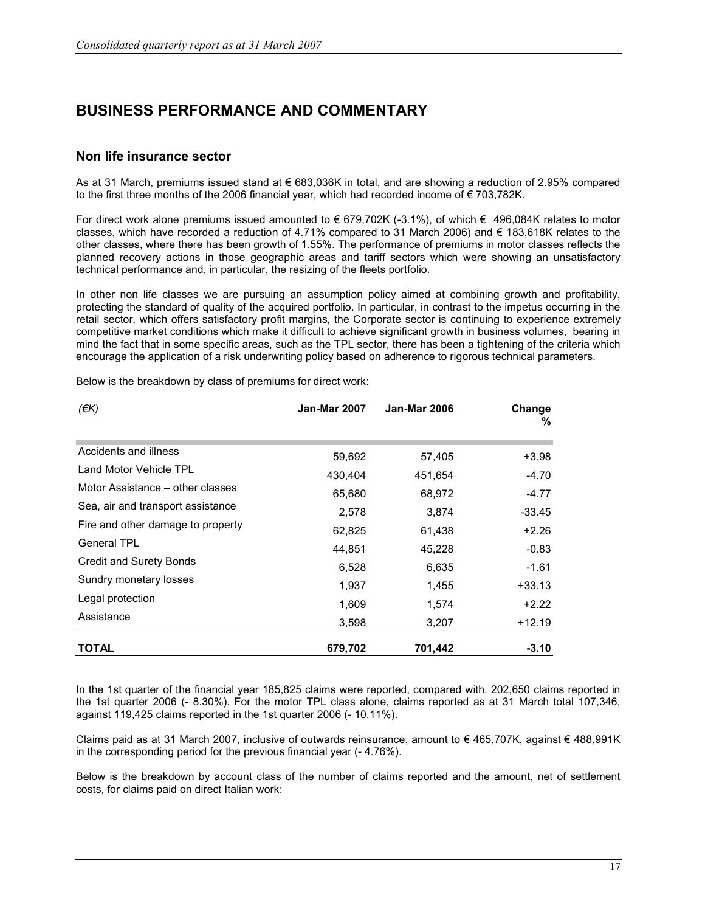### BUSINESS PERFORMANCE AND COMMENTARY

#### Non life insurance sector

As at 31 March, premiums issued stand at € 683,036K in total, and are showing a reduction of 2.95% compared to the first three months of the 2006 financial year, which had recorded income of  $\epsilon$  703,782K.

For direct work alone premiums issued amounted to € 679,702K (-3.1%), of which € 496,084K relates to motor classes, which have recorded a reduction of 4.71% compared to 31 March 2006) and  $\epsilon$  183,618K relates to the other classes, where there has been growth of 1.55%. The performance of premiums in motor classes reflects the planned recovery actions in those geographic areas and tariff sectors which were showing an unsatisfactory technical performance and, in particular, the resizing of the fleets portfolio.

In other non life classes we are pursuing an assumption policy aimed at combining growth and profitability, protecting the standard of quality of the acquired portfolio. In particular, in contrast to the impetus occurring in the retail sector, which offers satisfactory profit margins, the Corporate sector is continuing to experience extremely competitive market conditions which make it difficult to achieve significant growth in business volumes, bearing in mind the fact that in some specific areas, such as the TPL sector, there has been a tightening of the criteria which encourage the application of a risk underwriting policy based on adherence to rigorous technical parameters.

| (EK)                              | <b>Jan-Mar 2007</b> | <b>Jan-Mar 2006</b> | Change<br>℅ |
|-----------------------------------|---------------------|---------------------|-------------|
| Accidents and illness             | 59,692              | 57,405              | $+3.98$     |
| Land Motor Vehicle TPL            | 430,404             | 451,654             | $-4.70$     |
| Motor Assistance – other classes  | 65,680              | 68,972              | $-4.77$     |
| Sea, air and transport assistance | 2,578               | 3,874               | $-33.45$    |
| Fire and other damage to property | 62,825              | 61,438              | $+2.26$     |
| <b>General TPL</b>                | 44,851              | 45,228              | $-0.83$     |
| <b>Credit and Surety Bonds</b>    | 6,528               | 6,635               | $-1.61$     |
| Sundry monetary losses            | 1,937               | 1,455               | $+33.13$    |
| Legal protection                  | 1,609               | 1,574               | +2.22       |
| Assistance                        | 3,598               | 3,207               | $+12.19$    |
| <b>TOTAL</b>                      | 679,702             | 701,442             | $-3.10$     |

Below is the breakdown by class of premiums for direct work:

In the 1st quarter of the financial year 185,825 claims were reported, compared with. 202,650 claims reported in the 1st quarter 2006 (- 8.30%). For the motor TPL class alone, claims reported as at 31 March total 107,346, against 119,425 claims reported in the 1st quarter 2006 (- 10.11%).

Claims paid as at 31 March 2007, inclusive of outwards reinsurance, amount to € 465,707K, against € 488,991K in the corresponding period for the previous financial year (- 4.76%).

Below is the breakdown by account class of the number of claims reported and the amount, net of settlement costs, for claims paid on direct Italian work: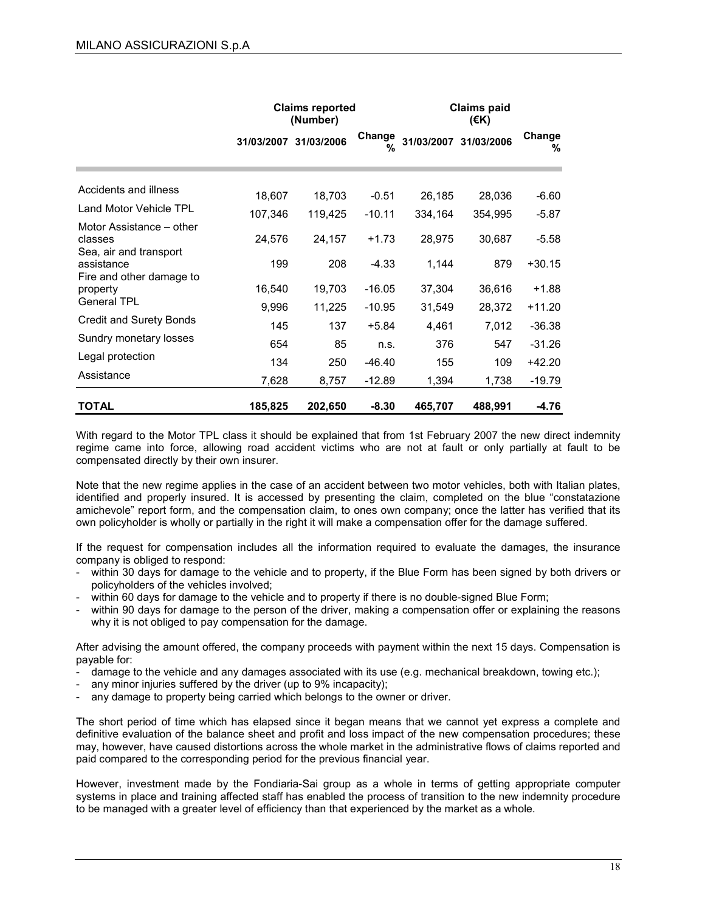|                                                               |                 | <b>Claims reported</b><br>(Number) |                      |                  | <b>Claims paid</b><br>(€K) |                     |
|---------------------------------------------------------------|-----------------|------------------------------------|----------------------|------------------|----------------------------|---------------------|
|                                                               |                 | 31/03/2007 31/03/2006              | Change<br>%          | 31/03/2007       | 31/03/2006                 | Change<br>%         |
| Accidents and illness                                         | 18,607          | 18,703                             | $-0.51$              | 26,185           | 28,036                     | $-6.60$             |
| Land Motor Vehicle TPL                                        | 107,346         | 119,425                            | $-10.11$             | 334,164          | 354,995                    | $-5.87$             |
| Motor Assistance – other<br>classes<br>Sea, air and transport | 24,576          | 24,157                             | $+1.73$              | 28,975           | 30,687                     | $-5.58$             |
| assistance                                                    | 199             | 208                                | $-4.33$              | 1,144            | 879                        | $+30.15$            |
| Fire and other damage to<br>property<br><b>General TPL</b>    | 16,540<br>9,996 | 19,703<br>11,225                   | $-16.05$<br>$-10.95$ | 37,304<br>31,549 | 36,616<br>28,372           | $+1.88$<br>$+11.20$ |
| <b>Credit and Surety Bonds</b>                                | 145             | 137                                | $+5.84$              | 4,461            | 7,012                      | $-36.38$            |
| Sundry monetary losses                                        | 654             | 85                                 | n.s.                 | 376              | 547                        | $-31.26$            |
| Legal protection                                              | 134             | 250                                | $-46.40$             | 155              | 109                        | $+42.20$            |
| Assistance                                                    | 7,628           | 8,757                              | $-12.89$             | 1,394            | 1,738                      | $-19.79$            |
| <b>TOTAL</b>                                                  | 185,825         | 202,650                            | $-8.30$              | 465,707          | 488,991                    | $-4.76$             |

With regard to the Motor TPL class it should be explained that from 1st February 2007 the new direct indemnity regime came into force, allowing road accident victims who are not at fault or only partially at fault to be compensated directly by their own insurer.

Note that the new regime applies in the case of an accident between two motor vehicles, both with Italian plates, identified and properly insured. It is accessed by presenting the claim, completed on the blue "constatazione amichevole" report form, and the compensation claim, to ones own company; once the latter has verified that its own policyholder is wholly or partially in the right it will make a compensation offer for the damage suffered.

If the request for compensation includes all the information required to evaluate the damages, the insurance company is obliged to respond:

- within 30 days for damage to the vehicle and to property, if the Blue Form has been signed by both drivers or policyholders of the vehicles involved;
- within 60 days for damage to the vehicle and to property if there is no double-signed Blue Form;
- within 90 days for damage to the person of the driver, making a compensation offer or explaining the reasons why it is not obliged to pay compensation for the damage.

After advising the amount offered, the company proceeds with payment within the next 15 days. Compensation is payable for:

- damage to the vehicle and any damages associated with its use (e.g. mechanical breakdown, towing etc.);
- any minor injuries suffered by the driver (up to 9% incapacity);
- any damage to property being carried which belongs to the owner or driver.

The short period of time which has elapsed since it began means that we cannot yet express a complete and definitive evaluation of the balance sheet and profit and loss impact of the new compensation procedures; these may, however, have caused distortions across the whole market in the administrative flows of claims reported and paid compared to the corresponding period for the previous financial year.

However, investment made by the Fondiaria-Sai group as a whole in terms of getting appropriate computer systems in place and training affected staff has enabled the process of transition to the new indemnity procedure to be managed with a greater level of efficiency than that experienced by the market as a whole.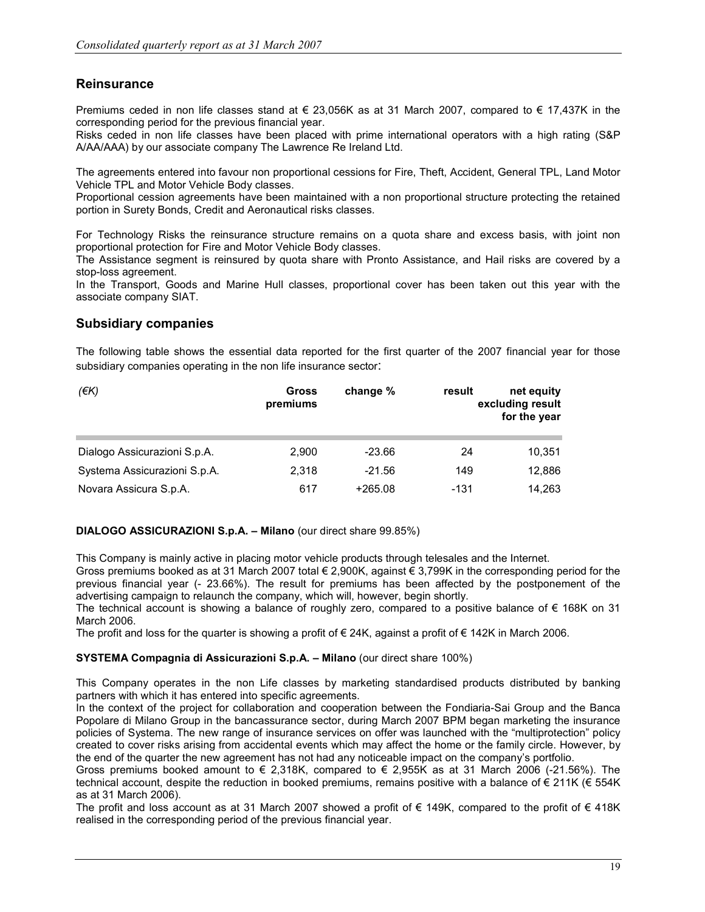#### **Reinsurance**

Premiums ceded in non life classes stand at € 23,056K as at 31 March 2007, compared to € 17,437K in the corresponding period for the previous financial year.

Risks ceded in non life classes have been placed with prime international operators with a high rating (S&P A/AA/AAA) by our associate company The Lawrence Re Ireland Ltd.

The agreements entered into favour non proportional cessions for Fire, Theft, Accident, General TPL, Land Motor Vehicle TPL and Motor Vehicle Body classes.

Proportional cession agreements have been maintained with a non proportional structure protecting the retained portion in Surety Bonds, Credit and Aeronautical risks classes.

For Technology Risks the reinsurance structure remains on a quota share and excess basis, with joint non proportional protection for Fire and Motor Vehicle Body classes.

The Assistance segment is reinsured by quota share with Pronto Assistance, and Hail risks are covered by a stop-loss agreement.

In the Transport, Goods and Marine Hull classes, proportional cover has been taken out this year with the associate company SIAT.

#### Subsidiary companies

The following table shows the essential data reported for the first quarter of the 2007 financial year for those subsidiary companies operating in the non life insurance sector:

| $($ $\notin$ K $)$           | <b>Gross</b><br>premiums | change %  | result | net equity<br>excluding result<br>for the year |
|------------------------------|--------------------------|-----------|--------|------------------------------------------------|
| Dialogo Assicurazioni S.p.A. | 2.900                    | $-23.66$  | 24     | 10,351                                         |
| Systema Assicurazioni S.p.A. | 2.318                    | $-21.56$  | 149    | 12,886                                         |
| Novara Assicura S.p.A.       | 617                      | $+265.08$ | -131   | 14,263                                         |

#### DIALOGO ASSICURAZIONI S.p.A. – Milano (our direct share 99.85%)

This Company is mainly active in placing motor vehicle products through telesales and the Internet.

Gross premiums booked as at 31 March 2007 total € 2,900K, against € 3,799K in the corresponding period for the previous financial year (- 23.66%). The result for premiums has been affected by the postponement of the advertising campaign to relaunch the company, which will, however, begin shortly.

The technical account is showing a balance of roughly zero, compared to a positive balance of € 168K on 31 March 2006.

The profit and loss for the quarter is showing a profit of € 24K, against a profit of € 142K in March 2006.

#### SYSTEMA Compagnia di Assicurazioni S.p.A. – Milano (our direct share 100%)

This Company operates in the non Life classes by marketing standardised products distributed by banking partners with which it has entered into specific agreements.

In the context of the project for collaboration and cooperation between the Fondiaria-Sai Group and the Banca Popolare di Milano Group in the bancassurance sector, during March 2007 BPM began marketing the insurance policies of Systema. The new range of insurance services on offer was launched with the "multiprotection" policy created to cover risks arising from accidental events which may affect the home or the family circle. However, by the end of the quarter the new agreement has not had any noticeable impact on the company's portfolio.

Gross premiums booked amount to  $\epsilon$  2,318K, compared to  $\epsilon$  2,955K as at 31 March 2006 (-21.56%). The technical account, despite the reduction in booked premiums, remains positive with a balance of € 211K (€ 554K as at 31 March 2006).

The profit and loss account as at 31 March 2007 showed a profit of  $\epsilon$  149K, compared to the profit of  $\epsilon$  418K realised in the corresponding period of the previous financial year.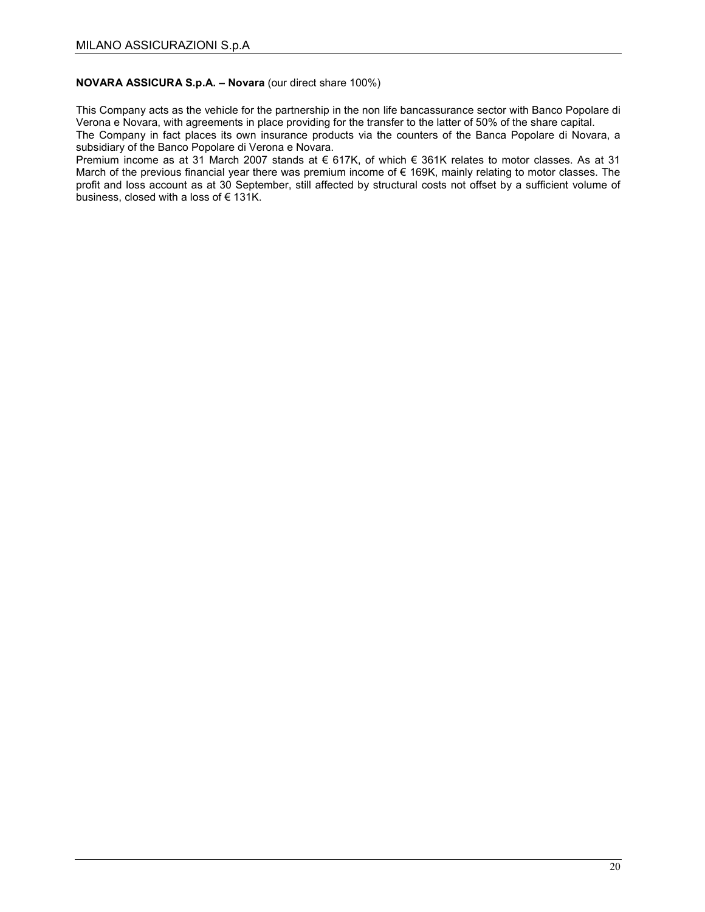#### NOVARA ASSICURA S.p.A. – Novara (our direct share 100%)

This Company acts as the vehicle for the partnership in the non life bancassurance sector with Banco Popolare di Verona e Novara, with agreements in place providing for the transfer to the latter of 50% of the share capital.

The Company in fact places its own insurance products via the counters of the Banca Popolare di Novara, a subsidiary of the Banco Popolare di Verona e Novara.

Premium income as at 31 March 2007 stands at € 617K, of which € 361K relates to motor classes. As at 31 March of the previous financial year there was premium income of € 169K, mainly relating to motor classes. The profit and loss account as at 30 September, still affected by structural costs not offset by a sufficient volume of business, closed with a loss of  $\epsilon$  131K.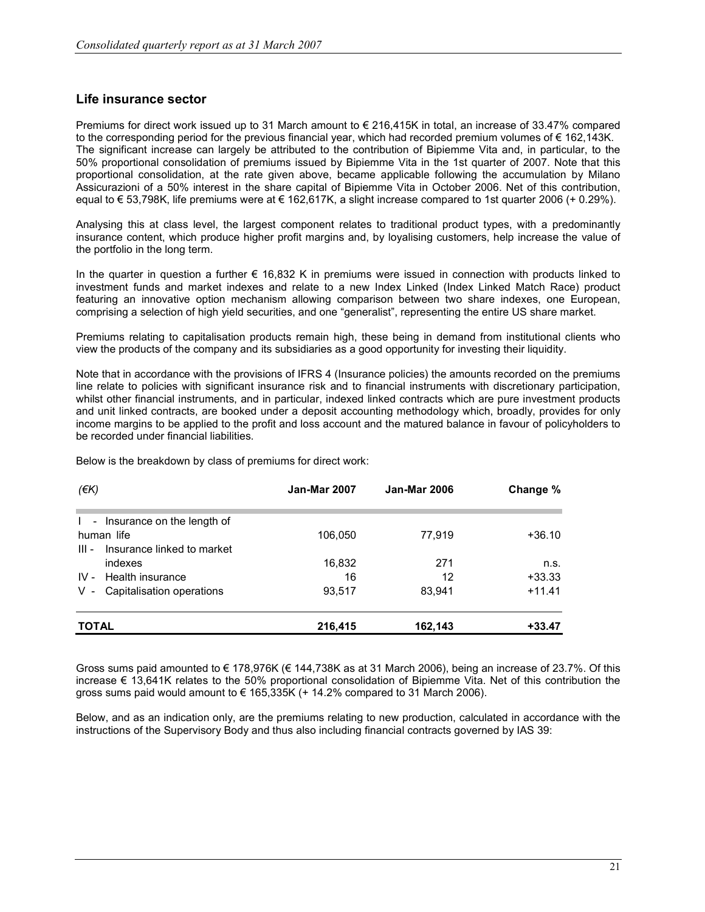#### Life insurance sector

Premiums for direct work issued up to 31 March amount to € 216,415K in total, an increase of 33.47% compared to the corresponding period for the previous financial year, which had recorded premium volumes of € 162,143K. The significant increase can largely be attributed to the contribution of Bipiemme Vita and, in particular, to the 50% proportional consolidation of premiums issued by Bipiemme Vita in the 1st quarter of 2007. Note that this proportional consolidation, at the rate given above, became applicable following the accumulation by Milano Assicurazioni of a 50% interest in the share capital of Bipiemme Vita in October 2006. Net of this contribution, equal to € 53,798K, life premiums were at € 162,617K, a slight increase compared to 1st quarter 2006 (+ 0.29%).

Analysing this at class level, the largest component relates to traditional product types, with a predominantly insurance content, which produce higher profit margins and, by loyalising customers, help increase the value of the portfolio in the long term.

In the quarter in question a further € 16,832 K in premiums were issued in connection with products linked to investment funds and market indexes and relate to a new Index Linked (Index Linked Match Race) product featuring an innovative option mechanism allowing comparison between two share indexes, one European, comprising a selection of high yield securities, and one "generalist", representing the entire US share market.

Premiums relating to capitalisation products remain high, these being in demand from institutional clients who view the products of the company and its subsidiaries as a good opportunity for investing their liquidity.

Note that in accordance with the provisions of IFRS 4 (Insurance policies) the amounts recorded on the premiums line relate to policies with significant insurance risk and to financial instruments with discretionary participation, whilst other financial instruments, and in particular, indexed linked contracts which are pure investment products and unit linked contracts, are booked under a deposit accounting methodology which, broadly, provides for only income margins to be applied to the profit and loss account and the matured balance in favour of policyholders to be recorded under financial liabilities.

Below is the breakdown by class of premiums for direct work:

| $(\epsilon K)$                                                     | <b>Jan-Mar 2007</b> | <b>Jan-Mar 2006</b> | Change % |
|--------------------------------------------------------------------|---------------------|---------------------|----------|
|                                                                    |                     |                     |          |
| Insurance on the length of<br>$\mathbf{L}$<br>$\sim$<br>human life | 106,050             | 77,919              | +36.10   |
| Insurance linked to market<br>$III -$<br>indexes                   | 16,832              | 271                 | n.s.     |
| Health insurance<br>$IV -$                                         | 16                  | 12                  | $+33.33$ |
| Capitalisation operations<br>$V -$                                 | 93,517              | 83,941              | $+11.41$ |
| <b>TOTAL</b>                                                       | 216,415             | 162,143             | $+33.47$ |

Gross sums paid amounted to € 178,976K (€ 144,738K as at 31 March 2006), being an increase of 23.7%. Of this increase € 13,641K relates to the 50% proportional consolidation of Bipiemme Vita. Net of this contribution the gross sums paid would amount to  $\in$  165,335K (+ 14.2% compared to 31 March 2006).

Below, and as an indication only, are the premiums relating to new production, calculated in accordance with the instructions of the Supervisory Body and thus also including financial contracts governed by IAS 39: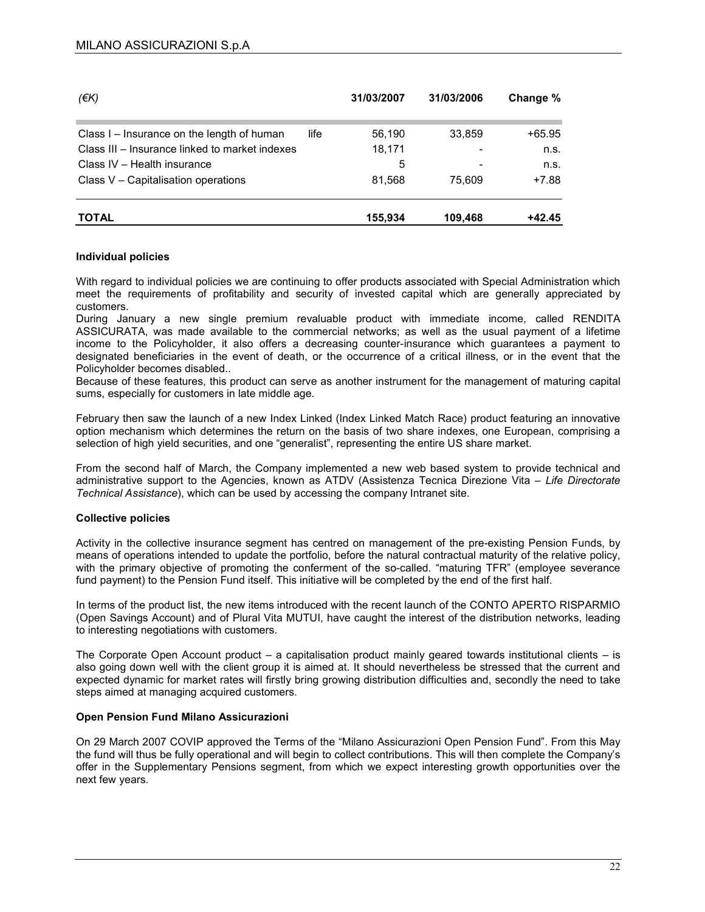| (EK)                                           |      | 31/03/2007 | 31/03/2006 | Change % |
|------------------------------------------------|------|------------|------------|----------|
| Class I – Insurance on the length of human     | life | 56.190     | 33.859     | $+65.95$ |
| Class III – Insurance linked to market indexes |      | 18,171     |            | n.s.     |
| Class IV - Health insurance                    |      | 5          |            | n.s.     |
| Class $V -$ Capitalisation operations          |      | 81,568     | 75.609     | $+7.88$  |
| <b>TOTAL</b>                                   |      | 155,934    | 109,468    | $+42.45$ |

#### Individual policies

With regard to individual policies we are continuing to offer products associated with Special Administration which meet the requirements of profitability and security of invested capital which are generally appreciated by customers.

During January a new single premium revaluable product with immediate income, called RENDITA ASSICURATA, was made available to the commercial networks; as well as the usual payment of a lifetime income to the Policyholder, it also offers a decreasing counter-insurance which guarantees a payment to designated beneficiaries in the event of death, or the occurrence of a critical illness, or in the event that the Policyholder becomes disabled..

Because of these features, this product can serve as another instrument for the management of maturing capital sums, especially for customers in late middle age.

February then saw the launch of a new Index Linked (Index Linked Match Race) product featuring an innovative option mechanism which determines the return on the basis of two share indexes, one European, comprising a selection of high yield securities, and one "generalist", representing the entire US share market.

From the second half of March, the Company implemented a new web based system to provide technical and administrative support to the Agencies, known as ATDV (Assistenza Tecnica Direzione Vita – Life Directorate Technical Assistance), which can be used by accessing the company Intranet site.

#### Collective policies

Activity in the collective insurance segment has centred on management of the pre-existing Pension Funds, by means of operations intended to update the portfolio, before the natural contractual maturity of the relative policy, with the primary objective of promoting the conferment of the so-called. "maturing TFR" (employee severance fund payment) to the Pension Fund itself. This initiative will be completed by the end of the first half.

In terms of the product list, the new items introduced with the recent launch of the CONTO APERTO RISPARMIO (Open Savings Account) and of Plural Vita MUTUI, have caught the interest of the distribution networks, leading to interesting negotiations with customers.

The Corporate Open Account product – a capitalisation product mainly geared towards institutional clients – is also going down well with the client group it is aimed at. It should nevertheless be stressed that the current and expected dynamic for market rates will firstly bring growing distribution difficulties and, secondly the need to take steps aimed at managing acquired customers.

#### Open Pension Fund Milano Assicurazioni

On 29 March 2007 COVIP approved the Terms of the "Milano Assicurazioni Open Pension Fund". From this May the fund will thus be fully operational and will begin to collect contributions. This will then complete the Company's offer in the Supplementary Pensions segment, from which we expect interesting growth opportunities over the next few years.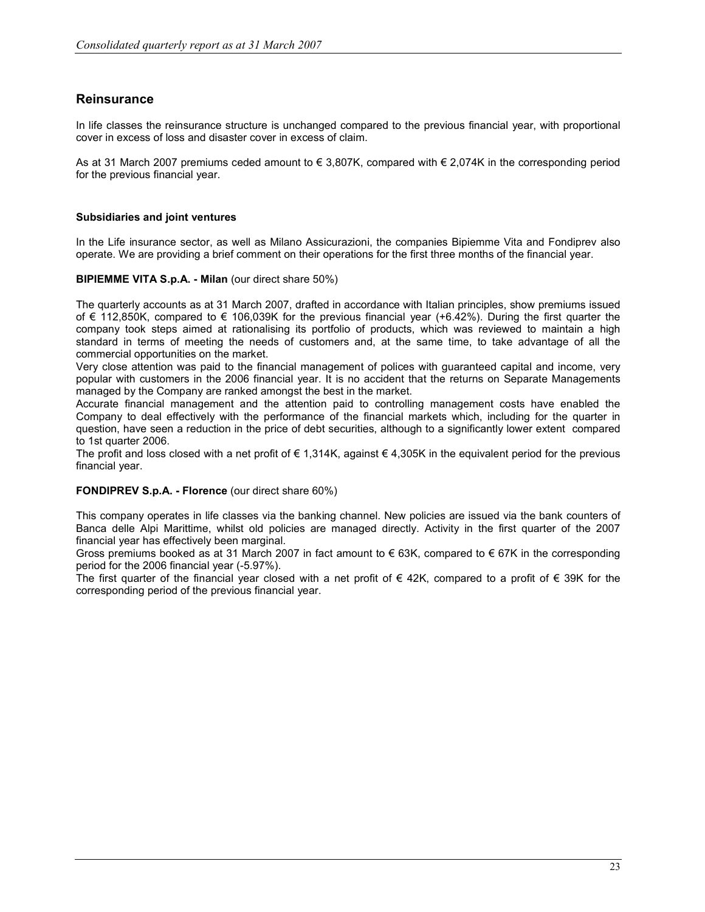#### **Reinsurance**

In life classes the reinsurance structure is unchanged compared to the previous financial year, with proportional cover in excess of loss and disaster cover in excess of claim.

As at 31 March 2007 premiums ceded amount to € 3,807K, compared with € 2,074K in the corresponding period for the previous financial year.

#### Subsidiaries and joint ventures

In the Life insurance sector, as well as Milano Assicurazioni, the companies Bipiemme Vita and Fondiprev also operate. We are providing a brief comment on their operations for the first three months of the financial year.

#### BIPIEMME VITA S.p.A. - Milan (our direct share 50%)

The quarterly accounts as at 31 March 2007, drafted in accordance with Italian principles, show premiums issued of € 112,850K, compared to € 106,039K for the previous financial year (+6.42%). During the first quarter the company took steps aimed at rationalising its portfolio of products, which was reviewed to maintain a high standard in terms of meeting the needs of customers and, at the same time, to take advantage of all the commercial opportunities on the market.

Very close attention was paid to the financial management of polices with guaranteed capital and income, very popular with customers in the 2006 financial year. It is no accident that the returns on Separate Managements managed by the Company are ranked amongst the best in the market.

Accurate financial management and the attention paid to controlling management costs have enabled the Company to deal effectively with the performance of the financial markets which, including for the quarter in question, have seen a reduction in the price of debt securities, although to a significantly lower extent compared to 1st quarter 2006.

The profit and loss closed with a net profit of  $\epsilon$  1,314K, against  $\epsilon$  4,305K in the equivalent period for the previous financial year.

#### FONDIPREV S.p.A. - Florence (our direct share 60%)

This company operates in life classes via the banking channel. New policies are issued via the bank counters of Banca delle Alpi Marittime, whilst old policies are managed directly. Activity in the first quarter of the 2007 financial year has effectively been marginal.

Gross premiums booked as at 31 March 2007 in fact amount to  $\epsilon$  63K, compared to  $\epsilon$  67K in the corresponding period for the 2006 financial year (-5.97%).

The first quarter of the financial year closed with a net profit of € 42K, compared to a profit of € 39K for the corresponding period of the previous financial year.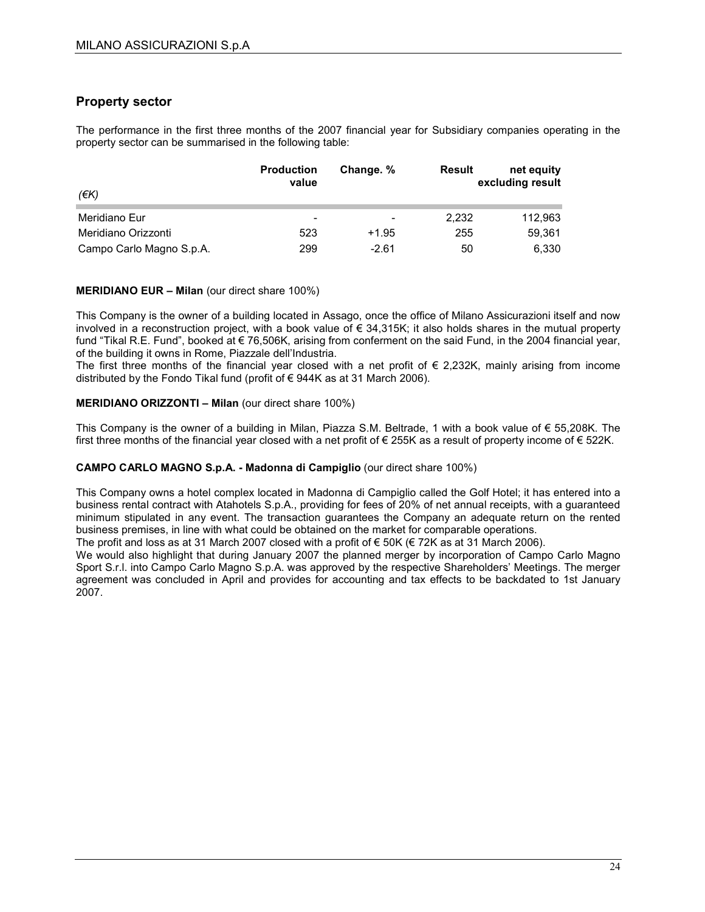#### Property sector

The performance in the first three months of the 2007 financial year for Subsidiary companies operating in the property sector can be summarised in the following table:

| (EK)                     | <b>Production</b><br>value | Change. %                | Result | net equity<br>excluding result |
|--------------------------|----------------------------|--------------------------|--------|--------------------------------|
| Meridiano Eur            | $\overline{\phantom{0}}$   | $\overline{\phantom{0}}$ | 2.232  | 112,963                        |
| Meridiano Orizzonti      | 523                        | $+1.95$                  | 255    | 59,361                         |
| Campo Carlo Magno S.p.A. | 299                        | $-2.61$                  | 50     | 6,330                          |

#### MERIDIANO EUR – Milan (our direct share 100%)

This Company is the owner of a building located in Assago, once the office of Milano Assicurazioni itself and now involved in a reconstruction project, with a book value of € 34,315K; it also holds shares in the mutual property fund "Tikal R.E. Fund", booked at € 76,506K, arising from conferment on the said Fund, in the 2004 financial year, of the building it owns in Rome, Piazzale dell'Industria.

The first three months of the financial year closed with a net profit of  $\epsilon$  2,232K, mainly arising from income distributed by the Fondo Tikal fund (profit of € 944K as at 31 March 2006).

#### MERIDIANO ORIZZONTI – Milan (our direct share 100%)

This Company is the owner of a building in Milan, Piazza S.M. Beltrade, 1 with a book value of € 55,208K. The first three months of the financial year closed with a net profit of  $\epsilon$  255K as a result of property income of  $\epsilon$  522K.

#### CAMPO CARLO MAGNO S.p.A. - Madonna di Campiglio (our direct share 100%)

This Company owns a hotel complex located in Madonna di Campiglio called the Golf Hotel; it has entered into a business rental contract with Atahotels S.p.A., providing for fees of 20% of net annual receipts, with a guaranteed minimum stipulated in any event. The transaction guarantees the Company an adequate return on the rented business premises, in line with what could be obtained on the market for comparable operations.

The profit and loss as at 31 March 2007 closed with a profit of  $\epsilon$  50K ( $\epsilon$  72K as at 31 March 2006).

We would also highlight that during January 2007 the planned merger by incorporation of Campo Carlo Magno Sport S.r.l. into Campo Carlo Magno S.p.A. was approved by the respective Shareholders' Meetings. The merger agreement was concluded in April and provides for accounting and tax effects to be backdated to 1st January 2007.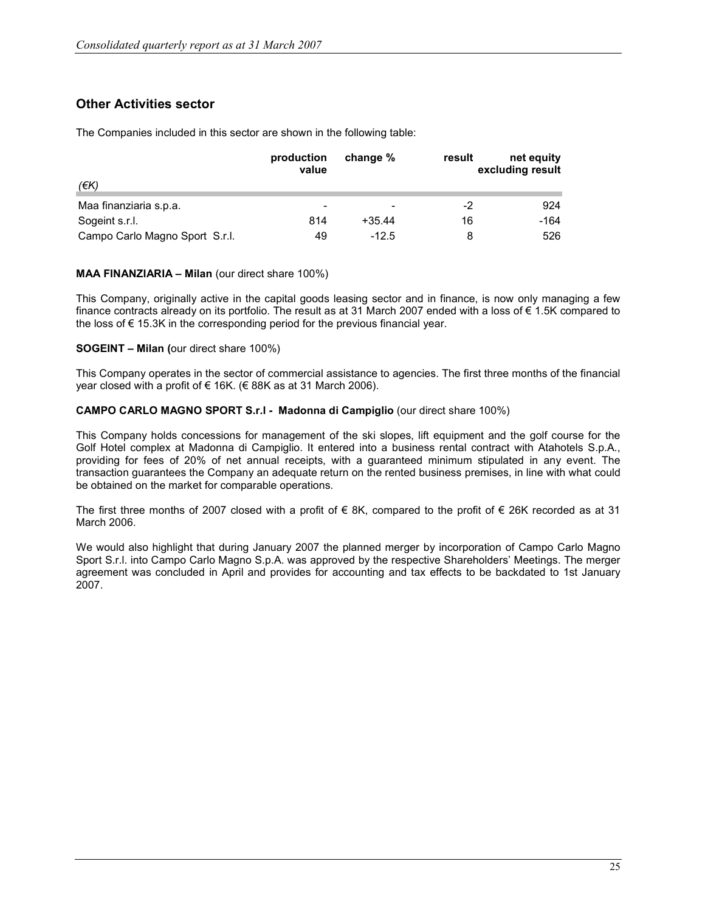### Other Activities sector

The Companies included in this sector are shown in the following table:

|                                | production<br>value      | change % | result | net equity<br>excluding result |
|--------------------------------|--------------------------|----------|--------|--------------------------------|
| (€K)                           |                          |          |        |                                |
| Maa finanziaria s.p.a.         | $\overline{\phantom{0}}$ |          | -2     | 924                            |
| Sogeint s.r.l.                 | 814                      | $+35.44$ | 16     | -164                           |
| Campo Carlo Magno Sport S.r.l. | 49                       | $-12.5$  | 8      | 526                            |

#### MAA FINANZIARIA – Milan (our direct share 100%)

This Company, originally active in the capital goods leasing sector and in finance, is now only managing a few finance contracts already on its portfolio. The result as at 31 March 2007 ended with a loss of € 1.5K compared to the loss of  $\epsilon$  15.3K in the corresponding period for the previous financial year.

#### SOGEINT – Milan (our direct share 100%)

This Company operates in the sector of commercial assistance to agencies. The first three months of the financial year closed with a profit of  $\epsilon$  16K. ( $\epsilon$  88K as at 31 March 2006).

#### CAMPO CARLO MAGNO SPORT S.r.l - Madonna di Campiglio (our direct share 100%)

This Company holds concessions for management of the ski slopes, lift equipment and the golf course for the Golf Hotel complex at Madonna di Campiglio. It entered into a business rental contract with Atahotels S.p.A., providing for fees of 20% of net annual receipts, with a guaranteed minimum stipulated in any event. The transaction guarantees the Company an adequate return on the rented business premises, in line with what could be obtained on the market for comparable operations.

The first three months of 2007 closed with a profit of  $\epsilon$  8K, compared to the profit of  $\epsilon$  26K recorded as at 31 March 2006.

We would also highlight that during January 2007 the planned merger by incorporation of Campo Carlo Magno Sport S.r.l. into Campo Carlo Magno S.p.A. was approved by the respective Shareholders' Meetings. The merger agreement was concluded in April and provides for accounting and tax effects to be backdated to 1st January 2007.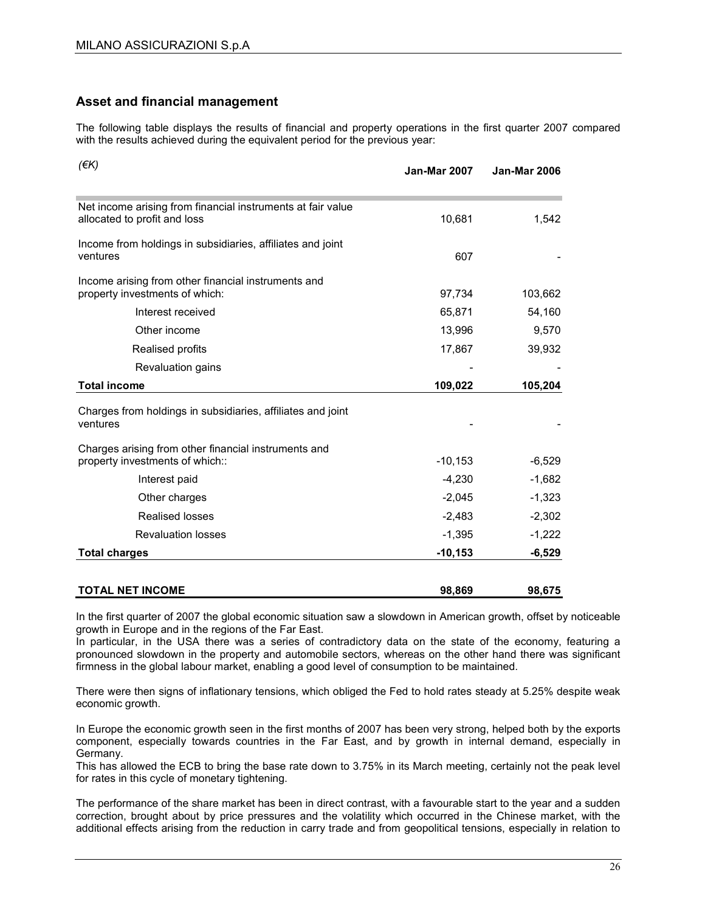#### Asset and financial management

The following table displays the results of financial and property operations in the first quarter 2007 compared with the results achieved during the equivalent period for the previous year:

| $(\epsilon K)$                                                                              | <b>Jan-Mar 2007</b> | <b>Jan-Mar 2006</b> |
|---------------------------------------------------------------------------------------------|---------------------|---------------------|
| Net income arising from financial instruments at fair value<br>allocated to profit and loss | 10,681              | 1,542               |
| Income from holdings in subsidiaries, affiliates and joint<br>ventures                      | 607                 |                     |
| Income arising from other financial instruments and<br>property investments of which:       | 97,734              | 103,662             |
| Interest received                                                                           | 65,871              | 54,160              |
| Other income                                                                                | 13,996              | 9,570               |
| Realised profits                                                                            | 17,867              | 39,932              |
| Revaluation gains                                                                           |                     |                     |
| <b>Total income</b>                                                                         | 109,022             | 105,204             |
| Charges from holdings in subsidiaries, affiliates and joint<br>ventures                     |                     |                     |
| Charges arising from other financial instruments and<br>property investments of which::     | $-10, 153$          | $-6,529$            |
| Interest paid                                                                               | $-4,230$            | $-1,682$            |
| Other charges                                                                               | $-2,045$            | $-1,323$            |
| <b>Realised losses</b>                                                                      | $-2,483$            | $-2,302$            |
| <b>Revaluation losses</b>                                                                   | $-1,395$            | $-1,222$            |
| <b>Total charges</b>                                                                        | $-10, 153$          | $-6,529$            |
| <b>TOTAL NET INCOME</b>                                                                     | 98,869              | 98,675              |

In the first quarter of 2007 the global economic situation saw a slowdown in American growth, offset by noticeable growth in Europe and in the regions of the Far East.

In particular, in the USA there was a series of contradictory data on the state of the economy, featuring a pronounced slowdown in the property and automobile sectors, whereas on the other hand there was significant firmness in the global labour market, enabling a good level of consumption to be maintained.

There were then signs of inflationary tensions, which obliged the Fed to hold rates steady at 5.25% despite weak economic growth.

In Europe the economic growth seen in the first months of 2007 has been very strong, helped both by the exports component, especially towards countries in the Far East, and by growth in internal demand, especially in Germany.

This has allowed the ECB to bring the base rate down to 3.75% in its March meeting, certainly not the peak level for rates in this cycle of monetary tightening.

The performance of the share market has been in direct contrast, with a favourable start to the year and a sudden correction, brought about by price pressures and the volatility which occurred in the Chinese market, with the additional effects arising from the reduction in carry trade and from geopolitical tensions, especially in relation to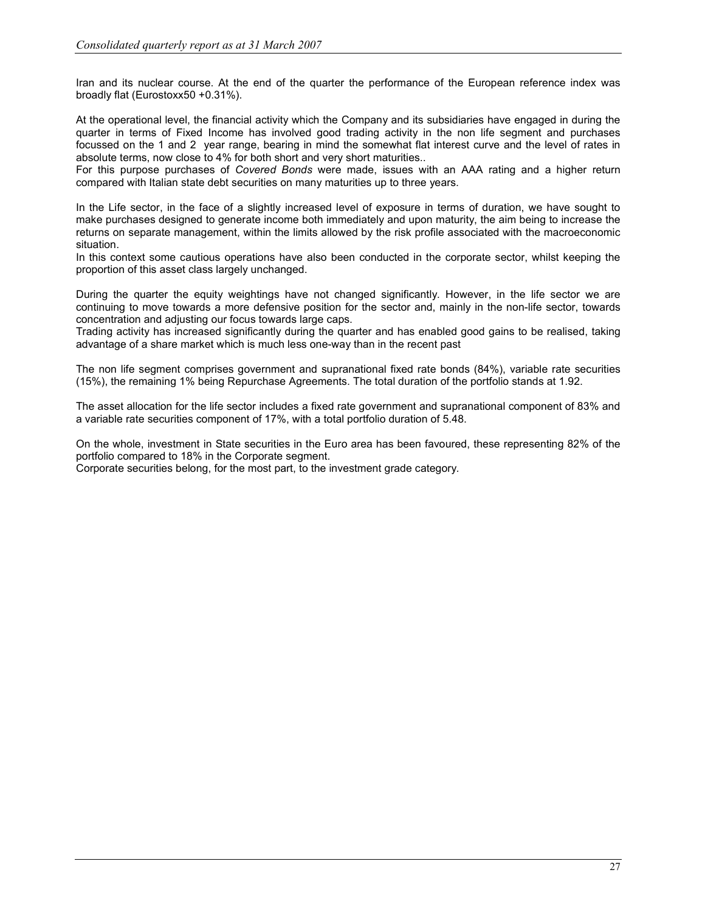Iran and its nuclear course. At the end of the quarter the performance of the European reference index was broadly flat (Eurostoxx50 +0.31%).

At the operational level, the financial activity which the Company and its subsidiaries have engaged in during the quarter in terms of Fixed Income has involved good trading activity in the non life segment and purchases focussed on the 1 and 2 year range, bearing in mind the somewhat flat interest curve and the level of rates in absolute terms, now close to 4% for both short and very short maturities..

For this purpose purchases of Covered Bonds were made, issues with an AAA rating and a higher return compared with Italian state debt securities on many maturities up to three years.

In the Life sector, in the face of a slightly increased level of exposure in terms of duration, we have sought to make purchases designed to generate income both immediately and upon maturity, the aim being to increase the returns on separate management, within the limits allowed by the risk profile associated with the macroeconomic situation.

In this context some cautious operations have also been conducted in the corporate sector, whilst keeping the proportion of this asset class largely unchanged.

During the quarter the equity weightings have not changed significantly. However, in the life sector we are continuing to move towards a more defensive position for the sector and, mainly in the non-life sector, towards concentration and adjusting our focus towards large caps.

Trading activity has increased significantly during the quarter and has enabled good gains to be realised, taking advantage of a share market which is much less one-way than in the recent past

The non life segment comprises government and supranational fixed rate bonds (84%), variable rate securities (15%), the remaining 1% being Repurchase Agreements. The total duration of the portfolio stands at 1.92.

The asset allocation for the life sector includes a fixed rate government and supranational component of 83% and a variable rate securities component of 17%, with a total portfolio duration of 5.48.

On the whole, investment in State securities in the Euro area has been favoured, these representing 82% of the portfolio compared to 18% in the Corporate segment.

Corporate securities belong, for the most part, to the investment grade category.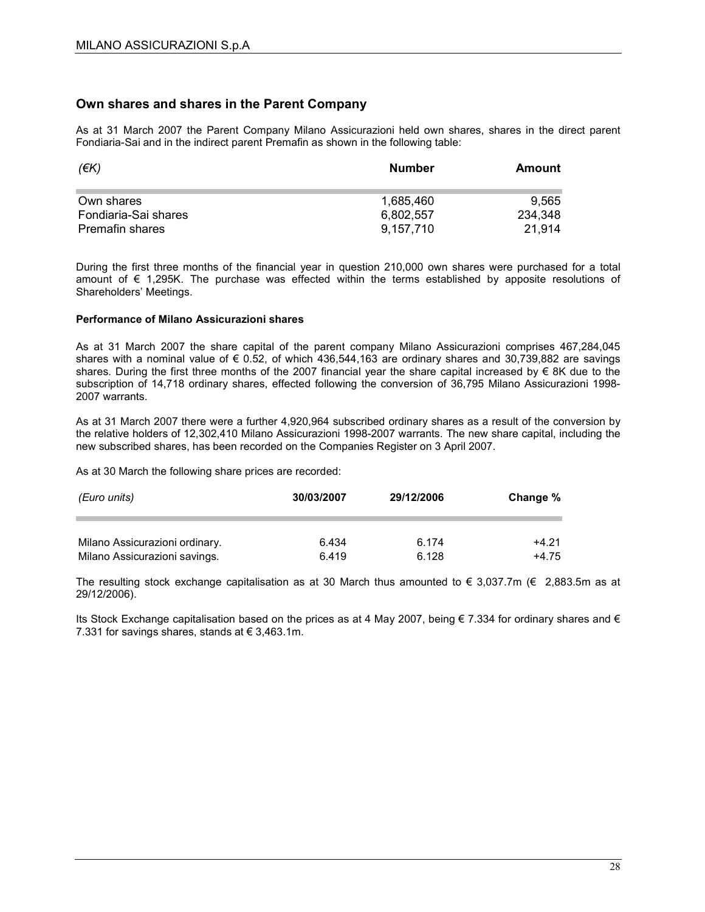#### Own shares and shares in the Parent Company

As at 31 March 2007 the Parent Company Milano Assicurazioni held own shares, shares in the direct parent Fondiaria-Sai and in the indirect parent Premafin as shown in the following table:

| (EK)                 | <b>Number</b> | Amount  |
|----------------------|---------------|---------|
| Own shares           | 1.685.460     | 9.565   |
| Fondiaria-Sai shares | 6.802.557     | 234,348 |
| Premafin shares      | 9.157.710     | 21.914  |

During the first three months of the financial year in question 210,000 own shares were purchased for a total amount of € 1,295K. The purchase was effected within the terms established by apposite resolutions of Shareholders' Meetings.

#### Performance of Milano Assicurazioni shares

As at 31 March 2007 the share capital of the parent company Milano Assicurazioni comprises 467,284,045 shares with a nominal value of  $\epsilon$  0.52, of which 436,544,163 are ordinary shares and 30,739,882 are savings shares. During the first three months of the 2007 financial year the share capital increased by € 8K due to the subscription of 14,718 ordinary shares, effected following the conversion of 36,795 Milano Assicurazioni 1998- 2007 warrants.

As at 31 March 2007 there were a further 4,920,964 subscribed ordinary shares as a result of the conversion by the relative holders of 12,302,410 Milano Assicurazioni 1998-2007 warrants. The new share capital, including the new subscribed shares, has been recorded on the Companies Register on 3 April 2007.

As at 30 March the following share prices are recorded:

| (Euro units)                   | 30/03/2007 | 29/12/2006 | Change % |  |
|--------------------------------|------------|------------|----------|--|
| Milano Assicurazioni ordinary. | 6.434      | 6.174      | $+4.21$  |  |
| Milano Assicurazioni savings.  | 6.419      | 6.128      | +4.75    |  |

The resulting stock exchange capitalisation as at 30 March thus amounted to  $\epsilon$  3,037.7m ( $\epsilon$  2,883.5m as at 29/12/2006).

Its Stock Exchange capitalisation based on the prices as at 4 May 2007, being € 7.334 for ordinary shares and € 7.331 for savings shares, stands at  $\epsilon$  3,463.1m.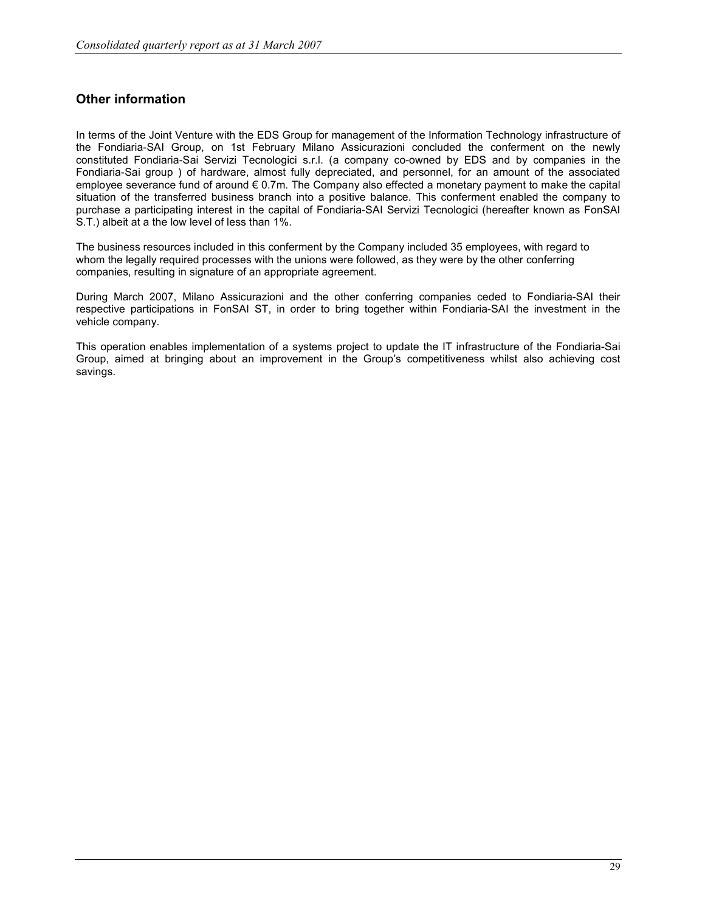### Other information

In terms of the Joint Venture with the EDS Group for management of the Information Technology infrastructure of the Fondiaria-SAI Group, on 1st February Milano Assicurazioni concluded the conferment on the newly constituted Fondiaria-Sai Servizi Tecnologici s.r.l. (a company co-owned by EDS and by companies in the Fondiaria-Sai group ) of hardware, almost fully depreciated, and personnel, for an amount of the associated employee severance fund of around € 0.7m. The Company also effected a monetary payment to make the capital situation of the transferred business branch into a positive balance. This conferment enabled the company to purchase a participating interest in the capital of Fondiaria-SAI Servizi Tecnologici (hereafter known as FonSAI S.T.) albeit at a the low level of less than 1%.

The business resources included in this conferment by the Company included 35 employees, with regard to whom the legally required processes with the unions were followed, as they were by the other conferring companies, resulting in signature of an appropriate agreement.

During March 2007, Milano Assicurazioni and the other conferring companies ceded to Fondiaria-SAI their respective participations in FonSAI ST, in order to bring together within Fondiaria-SAI the investment in the vehicle company.

This operation enables implementation of a systems project to update the IT infrastructure of the Fondiaria-Sai Group, aimed at bringing about an improvement in the Group's competitiveness whilst also achieving cost savings.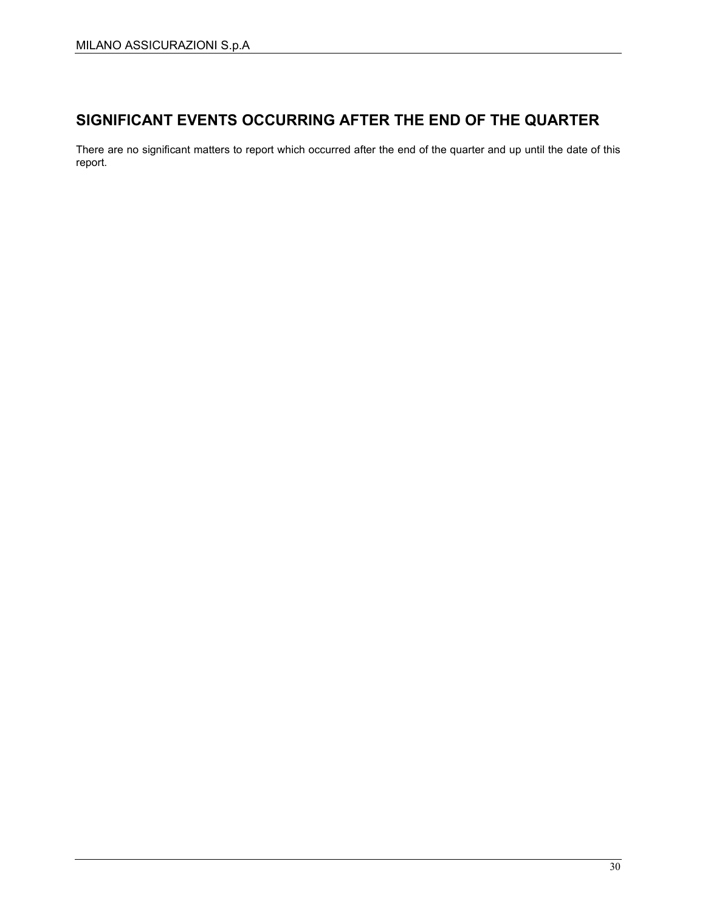### SIGNIFICANT EVENTS OCCURRING AFTER THE END OF THE QUARTER

There are no significant matters to report which occurred after the end of the quarter and up until the date of this report.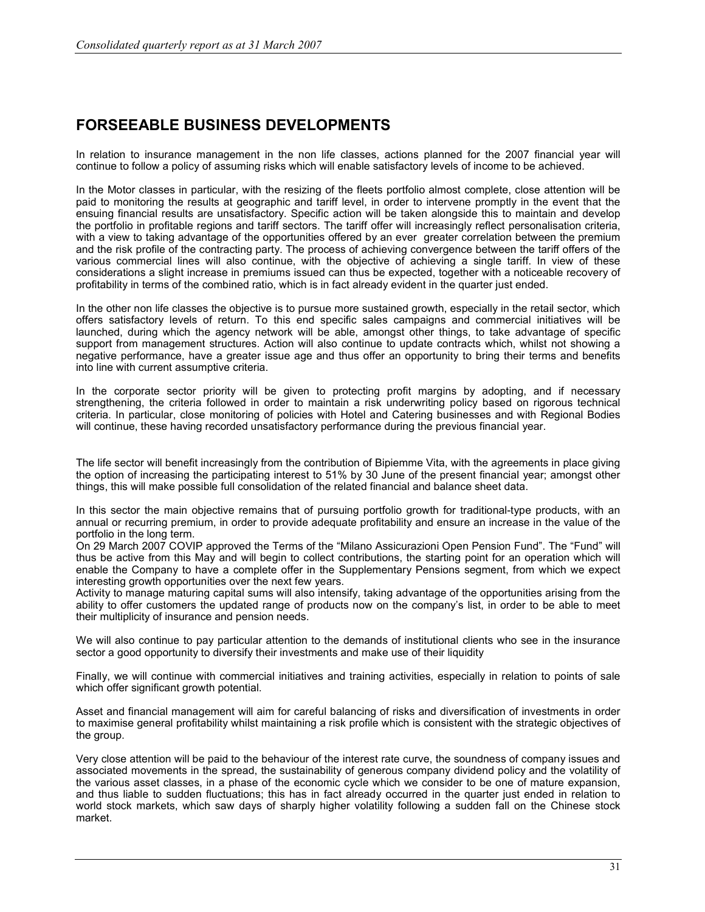### FORSEEABLE BUSINESS DEVELOPMENTS

In relation to insurance management in the non life classes, actions planned for the 2007 financial year will continue to follow a policy of assuming risks which will enable satisfactory levels of income to be achieved.

In the Motor classes in particular, with the resizing of the fleets portfolio almost complete, close attention will be paid to monitoring the results at geographic and tariff level, in order to intervene promptly in the event that the ensuing financial results are unsatisfactory. Specific action will be taken alongside this to maintain and develop the portfolio in profitable regions and tariff sectors. The tariff offer will increasingly reflect personalisation criteria, with a view to taking advantage of the opportunities offered by an ever greater correlation between the premium and the risk profile of the contracting party. The process of achieving convergence between the tariff offers of the various commercial lines will also continue, with the objective of achieving a single tariff. In view of these considerations a slight increase in premiums issued can thus be expected, together with a noticeable recovery of profitability in terms of the combined ratio, which is in fact already evident in the quarter just ended.

In the other non life classes the objective is to pursue more sustained growth, especially in the retail sector, which offers satisfactory levels of return. To this end specific sales campaigns and commercial initiatives will be launched, during which the agency network will be able, amongst other things, to take advantage of specific support from management structures. Action will also continue to update contracts which, whilst not showing a negative performance, have a greater issue age and thus offer an opportunity to bring their terms and benefits into line with current assumptive criteria.

In the corporate sector priority will be given to protecting profit margins by adopting, and if necessary strengthening, the criteria followed in order to maintain a risk underwriting policy based on rigorous technical criteria. In particular, close monitoring of policies with Hotel and Catering businesses and with Regional Bodies will continue, these having recorded unsatisfactory performance during the previous financial year.

The life sector will benefit increasingly from the contribution of Bipiemme Vita, with the agreements in place giving the option of increasing the participating interest to 51% by 30 June of the present financial year; amongst other things, this will make possible full consolidation of the related financial and balance sheet data.

In this sector the main objective remains that of pursuing portfolio growth for traditional-type products, with an annual or recurring premium, in order to provide adequate profitability and ensure an increase in the value of the portfolio in the long term.

On 29 March 2007 COVIP approved the Terms of the "Milano Assicurazioni Open Pension Fund". The "Fund" will thus be active from this May and will begin to collect contributions, the starting point for an operation which will enable the Company to have a complete offer in the Supplementary Pensions segment, from which we expect interesting growth opportunities over the next few years.

Activity to manage maturing capital sums will also intensify, taking advantage of the opportunities arising from the ability to offer customers the updated range of products now on the company's list, in order to be able to meet their multiplicity of insurance and pension needs.

We will also continue to pay particular attention to the demands of institutional clients who see in the insurance sector a good opportunity to diversify their investments and make use of their liquidity

Finally, we will continue with commercial initiatives and training activities, especially in relation to points of sale which offer significant growth potential.

Asset and financial management will aim for careful balancing of risks and diversification of investments in order to maximise general profitability whilst maintaining a risk profile which is consistent with the strategic objectives of the group.

Very close attention will be paid to the behaviour of the interest rate curve, the soundness of company issues and associated movements in the spread, the sustainability of generous company dividend policy and the volatility of the various asset classes, in a phase of the economic cycle which we consider to be one of mature expansion, and thus liable to sudden fluctuations; this has in fact already occurred in the quarter just ended in relation to world stock markets, which saw days of sharply higher volatility following a sudden fall on the Chinese stock market.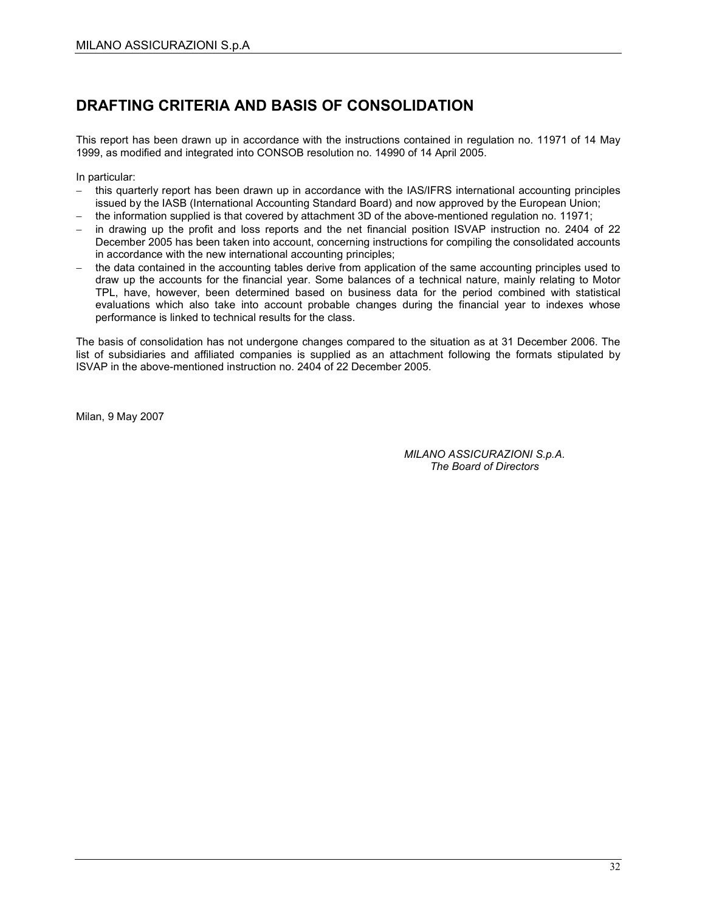### DRAFTING CRITERIA AND BASIS OF CONSOLIDATION

This report has been drawn up in accordance with the instructions contained in regulation no. 11971 of 14 May 1999, as modified and integrated into CONSOB resolution no. 14990 of 14 April 2005.

In particular:

- − this quarterly report has been drawn up in accordance with the IAS/IFRS international accounting principles issued by the IASB (International Accounting Standard Board) and now approved by the European Union;
- the information supplied is that covered by attachment 3D of the above-mentioned regulation no. 11971;
- in drawing up the profit and loss reports and the net financial position ISVAP instruction no. 2404 of 22 December 2005 has been taken into account, concerning instructions for compiling the consolidated accounts in accordance with the new international accounting principles;
- the data contained in the accounting tables derive from application of the same accounting principles used to draw up the accounts for the financial year. Some balances of a technical nature, mainly relating to Motor TPL, have, however, been determined based on business data for the period combined with statistical evaluations which also take into account probable changes during the financial year to indexes whose performance is linked to technical results for the class.

The basis of consolidation has not undergone changes compared to the situation as at 31 December 2006. The list of subsidiaries and affiliated companies is supplied as an attachment following the formats stipulated by ISVAP in the above-mentioned instruction no. 2404 of 22 December 2005.

Milan, 9 May 2007

MILANO ASSICURAZIONI S.p.A. The Board of Directors